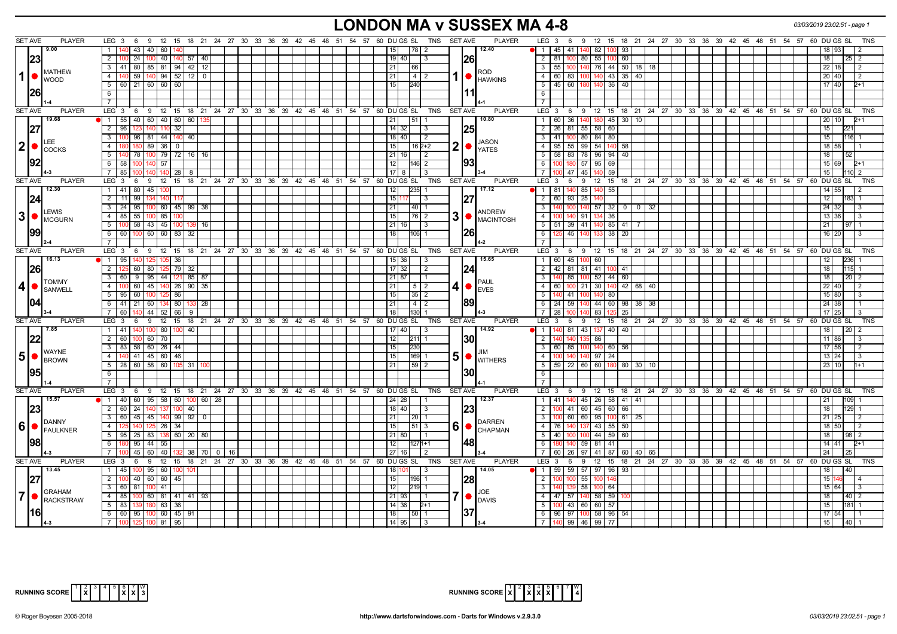# **LONDON MA v SUSSEX MA 4-8** *03/03/2019 23:02:51 - page 1*

|                  | <b>SET AVE</b> | <b>PLAYER</b>                                  | $LEG_36$<br>- 9<br>12                                                     |         |     |  |                                              |  | 15 18 21 24 27 30 33 36 39 42 45 48 51 54 57 60 DUGS SL<br>TNS SET AVE |                | <b>PLAYER</b>               | LEG <sub>3</sub><br>12 15 18 21 24 27 30 33 36 39 42 45 48 51 54 57 60 DU GS SL<br>- 9<br>TNS<br>- 6     |
|------------------|----------------|------------------------------------------------|---------------------------------------------------------------------------|---------|-----|--|----------------------------------------------|--|------------------------------------------------------------------------|----------------|-----------------------------|----------------------------------------------------------------------------------------------------------|
|                  |                | 9.00                                           | 43<br>40 60<br>1 <sup>1</sup>                                             |         |     |  |                                              |  | 78   2<br>15 <sub>1</sub>                                              |                | 12.40                       | 45   41  <br>100 93<br>$\mathbf{1}$<br>140<br>82 I<br>93<br>18 I                                         |
|                  |                |                                                | $2 \mid 1$<br>24<br>100 40 140 57 40                                      |         |     |  |                                              |  | $19$ 40<br>  3                                                         |                |                             | 2   81   100   80   55  <br>100 60<br>18  <br>$25 \mid 2$                                                |
|                  | 23             |                                                |                                                                           |         |     |  |                                              |  |                                                                        |                | 1261                        |                                                                                                          |
|                  |                | <b>MATHEW</b>                                  | 3   41  <br>  80   85   81   94   42   12                                 |         |     |  |                                              |  | 21<br>66                                                               |                | ROD                         | 3<br>-55 I<br>76 44 50 18 18<br>22  <br>18                                                               |
| 1                |                | <b>WOOD</b>                                    | 4 140                                                                     |         |     |  |                                              |  | 21<br>$14$ 2                                                           |                | <b>HAWKINS</b>              | $\overline{4}$<br>60   83   100   140   43   35   40<br>20 40<br>2                                       |
|                  |                |                                                | 5   60   21   60   60   60                                                |         |     |  |                                              |  | 15<br>240                                                              |                |                             | 5   45   60   180   140   36   40<br>17 40<br>$2+1$                                                      |
|                  | 1261           |                                                | 6                                                                         |         |     |  |                                              |  |                                                                        |                | 11                          | 6                                                                                                        |
|                  |                |                                                |                                                                           |         |     |  |                                              |  |                                                                        |                |                             | $\overline{7}$                                                                                           |
|                  | <b>SET AVE</b> | <b>PLAYER</b>                                  | LEG 3 6 9 12 15 18 21 24 27 30 33 36 39 42 45 48 51 54 57 60 DUGS SL      |         |     |  |                                              |  | TNS                                                                    | <b>SET AVE</b> | <b>PLAYER</b>               | ί 6 ່ 9 12 15 18 21 24 27 30 33 36 39 42 45 48 51 54 57 60 DUGS SL<br>LEG 3<br><b>TNS</b>                |
|                  |                | 19.68                                          | $\bullet$ 1 55 40 60 40 60 60 $\cdot$                                     |         |     |  |                                              |  | 21<br>l 51 l                                                           |                | 10.80                       | 60 36 140 180 45 30 10<br>$\overline{1}$<br>201101                                                       |
|                  | 27             |                                                | 32<br>$2 \mid 96$<br>1401 110                                             |         |     |  |                                              |  | $14$ 32<br>  3                                                         |                | 1251                        | $\overline{2}$<br>26 81 55 58 60<br>15 <sub>1</sub><br>22                                                |
|                  |                |                                                | 3 100 96 81 44 140 40                                                     |         |     |  |                                              |  | 18 40 <br>l 2                                                          |                |                             | $\overline{3}$<br>41 100 80 84 80<br>116 1<br>15 <sub>l</sub>                                            |
|                  |                | LEE.                                           |                                                                           |         |     |  |                                              |  |                                                                        |                | JASON                       |                                                                                                          |
| 2                |                | <b>I</b> COCKS                                 | 4<br>89 36<br>$\mathbf{0}$                                                |         |     |  |                                              |  | 15<br>16 2+2                                                           | 2              | <b>YATES</b>                | $\overline{4}$<br>95 55 99<br>54 140<br>58<br>18 58                                                      |
|                  |                |                                                | 51<br>78 I<br>100 79 72 16 16                                             |         |     |  |                                              |  | $21$   16 <br>l 2                                                      |                |                             | 5<br>58   83   78   96   94   40<br>18 I<br><b>52</b>                                                    |
|                  | 192            |                                                | 6 58 100<br>140 57                                                        |         |     |  |                                              |  | 12<br>146 2                                                            |                | 1931                        | 180 57 95 69<br>6<br>15   69                                                                             |
|                  |                |                                                | 7   85  <br>28<br>1401 140<br>8                                           |         |     |  |                                              |  | $17$   8<br>-3                                                         |                |                             | $\overline{7}$<br>0 47 45<br>59<br>15                                                                    |
|                  | SET AVE        | <b>PLAYER</b>                                  | $LEG_3$ 6<br>9 12 15 18 21 24 27 30 33 36 39 42 45 48 51 54 57 60 DUGS SL |         |     |  |                                              |  | TNS                                                                    | SET AVE        | <b>PLAYER</b>               | LEG <sup>3</sup><br>12 15 18 21 24 27 30 33 36 39 42 45 48 51 54 57 60 DUGS SL<br>6<br>9<br><b>TNS</b>   |
|                  |                | 12.30                                          | $1 \mid 41$<br>80<br>45 100                                               |         |     |  |                                              |  | $\overline{12}$                                                        |                | 17.12                       | $\overline{1}$<br>81<br>140 85<br>55<br>14 N                                                             |
|                  | 24             |                                                | $2 \mid 11$<br>99<br>1341 140                                             |         |     |  |                                              |  | 15 I1<br>-3                                                            |                |                             | $\overline{2}$<br>$93 \mid 25$<br>-60 I<br>12 I                                                          |
|                  |                |                                                | $3 \mid 24$<br>95<br>100 60 45 99 38                                      |         |     |  |                                              |  | 21<br>$40$   1                                                         |                |                             | $\overline{3}$<br>$57$ 32 0<br>140<br>$0 \mid 32$<br>32                                                  |
|                  |                | <b>LEWIS</b>                                   | 4 85 55 100 85                                                            |         |     |  |                                              |  | $\sqrt{76}$ 2<br>15                                                    | 3              | <b>ANDREW</b>               | $\overline{4}$<br>36<br>36<br>40 91<br>13 <sub>l</sub>                                                   |
|                  |                |                                                | $\overline{5}$ 100 58 43 45<br>10C                                        | 16      |     |  |                                              |  | $21$ 16<br>IЗ                                                          |                | <b>MACINTOSH</b>            | 5<br>51 39 41<br>140 85 41<br>21<br>I 97 I 1                                                             |
|                  | 199            |                                                | 6 60<br>100<br>60 60 83<br>-32                                            |         |     |  |                                              |  | 18<br>106 11                                                           |                |                             | $6\overline{6}$<br>45 140<br>38<br>20<br>16 I<br><b>20</b>                                               |
|                  |                |                                                | $7^{\circ}$                                                               |         |     |  |                                              |  |                                                                        |                |                             |                                                                                                          |
|                  |                |                                                |                                                                           |         |     |  |                                              |  |                                                                        |                |                             |                                                                                                          |
|                  | <b>SET AVE</b> | <b>PLAYER</b>                                  | LEG 3<br>9 12 15<br>6                                                     |         |     |  |                                              |  | 18 21 24 27 30 33 36 39 42 45 48 51 54 57 60 DUGS SL<br>TNS            | <b>SET AVE</b> | PLAYER                      | 12 15 18 21 24 27 30 33 36 39 42 45 48 51 54 57 60 DUGS SL<br>LEG <sub>3</sub><br><b>TNS</b><br>- 6<br>9 |
|                  |                | 16.13                                          | $1 \mid 95$<br>36<br>125   105                                            |         |     |  |                                              |  | 15 36<br>-3                                                            |                | 15.65                       | 23<br>1 60 45 100<br>60<br>12                                                                            |
|                  | 26             |                                                | 2 125<br>60<br> 79 32<br>- 80 I                                           |         |     |  |                                              |  | $17 \mid 32$<br>l 2                                                    |                | 124                         | $\overline{2}$<br>41 100 41<br>42   81   81<br>18                                                        |
|                  |                | <b>TOMMY</b>                                   | $9$   95   44   121   85   87<br>3 60                                     |         |     |  |                                              |  | $21 \mid 87$                                                           |                | PAUL                        | 3<br>52 44 60<br>-85 I<br>18<br>l 20 l<br>100                                                            |
| $\boldsymbol{4}$ |                | SANWELL                                        | 60 45 140 26 90 35<br>4 100                                               |         |     |  |                                              |  | $\overline{21}$<br>$5\vert 2$                                          | 4              | $\bullet$<br><b>EVES</b>    | $\overline{4}$<br>$100$ 21<br>30 140 42 68 40<br>-60 I<br>22  <br>40                                     |
|                  |                |                                                | 5 95 60<br>100 125 86                                                     |         |     |  |                                              |  | $35$   2<br>15                                                         |                |                             | 5<br>l 41 l 100<br>140 80<br>15 80<br>$\mathcal{R}$                                                      |
|                  |                |                                                | 6 41 21 60 134 80                                                         | 133 28  |     |  |                                              |  | 21<br>$\begin{array}{c c c c c} 4 & 2 \end{array}$                     |                | 1891                        | 44 60 98 38 38<br>6<br>24   59   140<br>24   38                                                          |
|                  |                |                                                | 7 60 140 44 52 66<br>9                                                    |         |     |  |                                              |  | 18<br>$130$ 1                                                          |                |                             | $\overline{7}$<br>83<br>25<br>28 I<br>100 140<br>17                                                      |
|                  | <b>SET AVE</b> | <b>PLAYER</b>                                  | $LEG_3$ 6<br>9 12 15 18 21 24 27 30 33 36 39 42 45 48 51 54 57 60 DUGS SL |         |     |  |                                              |  | TNS                                                                    | <b>SET AVE</b> | <b>PLAYER</b>               | LEG <sub>3</sub><br>12 15 18 21 24 27 30 33 36 39 42 45 48 51 54 57 60 DUGS SL<br><b>TNS</b><br>69       |
|                  |                | 7.85                                           | $1 \mid 41$<br>140 100 80<br>$ 100 $ 40                                   |         |     |  |                                              |  | 17 40<br>l 3                                                           |                | 14.92                       | 81 43 137 40 40<br>$\overline{1}$<br>201                                                                 |
|                  |                |                                                | 2 60<br>60 70<br>10 <sup>c</sup>                                          |         |     |  |                                              |  | 12<br>211                                                              |                | 1301                        | $\overline{2}$<br>86<br>11 86                                                                            |
|                  |                |                                                | 3 83 58 60 26 44                                                          |         |     |  |                                              |  | 15<br>230                                                              |                |                             | 85<br>3<br>-60 I<br>60 56<br>17 56<br>2                                                                  |
| 5 <sup>1</sup>   |                | <b>WAYNE</b>                                   |                                                                           |         |     |  |                                              |  |                                                                        |                |                             |                                                                                                          |
|                  |                | BROWN                                          | 4   140   41   45   60   46                                               |         |     |  |                                              |  | 15<br>169 1                                                            | 5              | $\bullet$<br><b>WITHERS</b> | $\overline{4}$<br>97 24<br>140  <br>13 24<br>140                                                         |
|                  |                |                                                | 5 28 60 58 60 105<br>l 31 l                                               |         |     |  |                                              |  | $59$   2<br>21                                                         |                |                             | 5<br>$59$   22   60<br>60 180 80<br>23 10<br>30   10                                                     |
|                  | 195            |                                                | 6                                                                         |         |     |  |                                              |  |                                                                        |                | 130                         | 6                                                                                                        |
|                  |                |                                                | 7 <sup>1</sup>                                                            |         |     |  |                                              |  |                                                                        |                |                             | $\overline{7}$                                                                                           |
|                  | <b>SET AVE</b> | <b>PLAYER</b>                                  | LEG 3 6 9 12 15 18 21 24 27 30 33 36 39 42 45 48 51 54 57 60 DUGS SL      |         |     |  |                                              |  | <b>TNS</b>                                                             | SET AVE        | <b>PLAYER</b>               | LEG 3 6 9 12 15 18 21 24 27 30 33 36 39 42 45 48 51 54 57 60 DUGS SL<br>TNS                              |
|                  |                | 15.57                                          | 1 40 60 95 58 60 100 60 28                                                |         |     |  |                                              |  | 24   28                                                                |                | 12.37                       | $\overline{1}$<br>140 45 26 58 41<br>41 I<br>41                                                          |
|                  |                |                                                | 2   60   24  <br>100<br>40<br>140 137                                     |         |     |  |                                              |  | $18$   40<br>∣3                                                        |                | 123                         | $\overline{2}$<br>41 60 45 60<br>66                                                                      |
|                  |                |                                                | 3   60   45   45   140   99   92   0                                      |         |     |  |                                              |  | 21<br>  20   1                                                         |                |                             | $\overline{3}$<br>60 60 95 100 61<br>-25                                                                 |
|                  |                | <b>IDANNY</b><br>$6 \cdot \mathsf{F}$ FAULKNER | 4<br>$ 25 $ 26 34                                                         |         |     |  |                                              |  | 15<br>$51$ 3                                                           | 6              | <b>DARREN</b><br>$\bullet$  | $\overline{4}$<br>43 <sup>1</sup><br>55<br>50<br>76<br>137<br>18<br>50                                   |
|                  |                |                                                | 5 95 25 83 138 60 20 80                                                   |         |     |  |                                              |  | $21$ 80                                                                |                | <b>CHAPMAN</b>              | 5<br>$44 \overline{59}$<br>40<br>60<br>100 100<br>18 I<br>98 I                                           |
|                  | 98             |                                                | 95<br>$44$ 55<br>6                                                        |         |     |  |                                              |  | 12<br>1271+1                                                           |                | 48                          | 6<br>140 59<br>81 41<br>14 41<br>$2+1$                                                                   |
|                  |                |                                                | 60 40<br>45                                                               | 38 70 0 | -16 |  |                                              |  | 27116<br>$\overline{2}$                                                |                |                             | $\overline{7}$<br>26 97<br>41 87 60 40 65<br>24<br>ഹ                                                     |
|                  | SET AVE        | <b>PLAYER</b>                                  | $LEG \ 3$<br>12<br>- 9<br>- 6                                             |         |     |  | 15 18 21 24 27 30 33 36 39 42 45 48 51 54 57 |  | 60 DU GS SL<br>TNS                                                     | <b>SET AVE</b> | PLAYER                      | 15<br>18 21 24 27 30 33 36 39 42 45 48 51 54 57 60 DUGS SL<br>LEG<br>$\mathbf{3}$<br>6<br>9<br>12<br>TNS |
|                  |                | 13.45                                          |                                                                           |         |     |  |                                              |  | -3                                                                     |                | 14.05                       | 1   59   59   57   97   96   93<br>140                                                                   |
|                  |                |                                                | 1 45 100 95 60 100 101                                                    |         |     |  |                                              |  |                                                                        |                |                             | 18                                                                                                       |
|                  |                |                                                | $2 \ 100$<br>40 60 60 45                                                  |         |     |  |                                              |  | 15<br>196  1                                                           |                | 1281                        | 55<br>2<br>15 I                                                                                          |
|                  |                | <b>GRAHAM</b>                                  | 3 60 81 100 41                                                            |         |     |  |                                              |  | 12<br>219 1                                                            |                | JOE                         | $\overline{\mathbf{3}}$<br>58<br>100 64<br>15 64<br>l 3                                                  |
| $\overline{7}$   |                | RACKSTRAW                                      | 4 85 100 60 81 41 41 93                                                   |         |     |  |                                              |  | $21 \,   \, 93$<br>  1                                                 | 7              | $\bullet$<br><b>DAVIS</b>   | 58 59<br>4 47 57 140<br>18  <br>$40 \mid 2$                                                              |
|                  |                |                                                | $5 \mid 83$<br>180 63 36                                                  |         |     |  |                                              |  | $14$ 36<br>$2+1$                                                       |                |                             | 5<br>100 43 60 60 57<br>15 <sup>1</sup><br>181                                                           |
|                  | 16I            |                                                | 6 6 60 95 100 60 45 91                                                    |         |     |  |                                              |  | $18$ 50 1                                                              |                |                             | 6<br>96 97 100 58 96 54<br>$17 \overline{\smash{\big)}\ 54}$                                             |
|                  |                |                                                | 7 100 125 100 81 95                                                       |         |     |  |                                              |  | $14$ [95]<br>$\overline{3}$                                            |                |                             | 7 140 99 46 99 77<br>15<br>$140$ 1                                                                       |



| RUNNING SCORE $\begin{bmatrix} 1 & 2 & 3 & 4 & 5 & 6 & 7 & W \\ X & X & X & X & Y & Y \end{bmatrix}$ |  |  |  |  |  |  |  |  |  |  |  |
|------------------------------------------------------------------------------------------------------|--|--|--|--|--|--|--|--|--|--|--|
|------------------------------------------------------------------------------------------------------|--|--|--|--|--|--|--|--|--|--|--|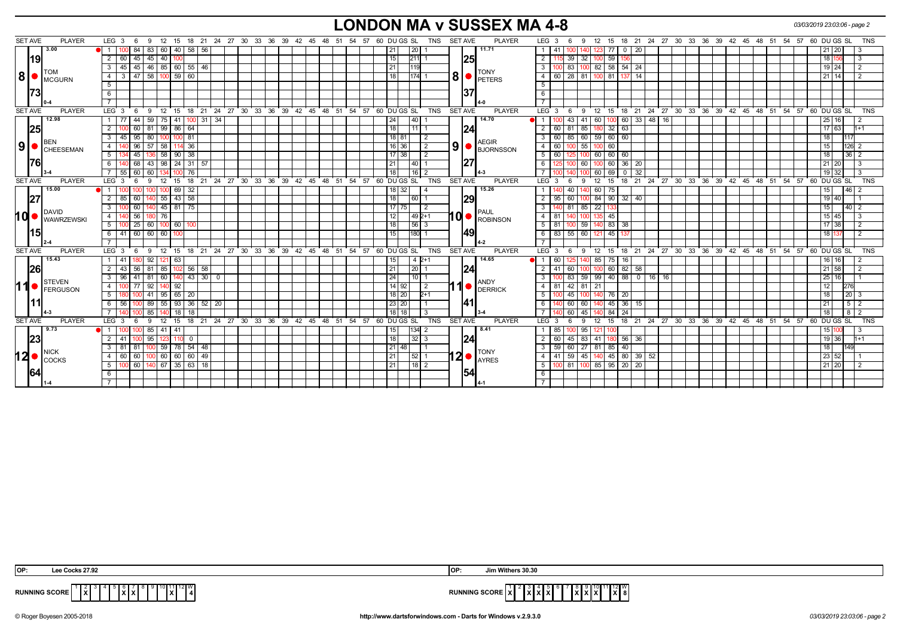## **LONDON MA v SUSSEX MA 4-8** *03/03/2019 23:03:06 - page 2*

| <b>SET AVE</b>  | <b>PLAYER</b>     | LEG 3<br>9<br>- 12<br>6                             | 15 18 21 24 27 30 33 36 39 42 45 48 51 54 57 60 DUGS SL     |                                                      | TNS<br><b>SET AVE</b><br><b>PLAYER</b>                                                                                                                                                 | 12 15 18 21 24 27 30 33 36 39 42 45 48 51 54 57<br>60 DU GS SL<br>TNS<br>LEG 3<br>9                              |
|-----------------|-------------------|-----------------------------------------------------|-------------------------------------------------------------|------------------------------------------------------|----------------------------------------------------------------------------------------------------------------------------------------------------------------------------------------|------------------------------------------------------------------------------------------------------------------|
|                 | 3.00              | 83 60 40 58 56<br>84                                |                                                             |                                                      | 20 <br>11.71<br>21                                                                                                                                                                     | 77<br>$\overline{0}$<br>20<br>41<br>140<br>21   20<br>123.                                                       |
| 19              |                   | 45<br>2 60<br>$45 \mid 40 \mid$<br>100              |                                                             |                                                      | 15<br> 25 <br>$211$ 1                                                                                                                                                                  | 2<br>32<br>100 59<br>115 39<br>18   1<br>-3<br>156                                                               |
|                 |                   | 45 46 85 60 55 46<br>3<br>45                        |                                                             |                                                      | 21<br>119                                                                                                                                                                              | $54 \mid 24$<br>3<br>82 58<br>83<br>19   24<br>100                                                               |
| 8               | TOM<br>MCGURN     | 47<br>58 100<br>$\overline{4}$<br>3                 | $59$ 60                                                     |                                                      | <b>TONY</b><br>8<br> 174  1<br>18<br><b>PETERS</b>                                                                                                                                     | $\overline{4}$<br>60<br>$\sqrt{28}$<br>81<br>100 81<br>21   14                                                   |
|                 |                   | 5                                                   |                                                             |                                                      |                                                                                                                                                                                        | 5                                                                                                                |
|                 |                   | 6                                                   |                                                             |                                                      | 37                                                                                                                                                                                     | 6                                                                                                                |
|                 |                   |                                                     |                                                             |                                                      |                                                                                                                                                                                        | $\overline{7}$                                                                                                   |
| <b>SET AVE</b>  | <b>PLAYER</b>     | LEG <sup>3</sup><br>6                               | 9 12 15 18 21 24 27 30 33 36 39 42 45 48 51 54 57 60 DUGSSL |                                                      | <b>SET AVE</b><br><b>PLAYER</b><br>TNS                                                                                                                                                 | $LEG \ 3 \ 6$<br>9 12 15 18 21 24 27 30 33 36 39 42 45 48 51 54 57 60 DUGS SL<br>TNS                             |
|                 | 12.98             | $59 \mid 75$<br>44<br>41<br>1   77                  | $100$ 31 34                                                 |                                                      | 40 <br>14.70<br> 24                                                                                                                                                                    | 60<br>33 48 16<br>60<br>16 <sup>1</sup><br>43<br>41<br>25 I                                                      |
| 25              |                   | $\overline{2}$<br>60<br>81 99                       | 86 64                                                       |                                                      | 18<br> 24 <br>11                                                                                                                                                                       | 63<br>85<br>32<br>$\overline{2}$<br>60<br>17 63<br>l 81                                                          |
|                 | BEN               | 95<br>3   45  <br>80 100<br>100 I                   | 81                                                          |                                                      | 18 81<br>$\overline{2}$<br><b>AEGIR</b>                                                                                                                                                | 60<br>59 60<br>60<br>3<br>60 85<br>18<br>117                                                                     |
| 9   C           | <b>CHEESEMAN</b>  | 96<br>57 58<br>4 I                                  | $114$ 36                                                    |                                                      | $\left  9 \right $ <b>B</b> JORNSSON<br>16 36 <br>$\sqrt{2}$                                                                                                                           | 55<br>60<br>126<br>4<br>100 60<br>15                                                                             |
|                 |                   | 45<br>5  <br>136 58                                 | 90   38                                                     |                                                      | 17 38<br>$\overline{2}$                                                                                                                                                                | 5<br>60<br>60 60<br>60<br>36 <sup>1</sup><br>18  <br>100                                                         |
| 176             |                   | 68<br>6<br>43 98                                    | $24$ 31 57                                                  |                                                      | 27<br>21<br> 40                                                                                                                                                                        | 60<br>36 20<br>6<br>100 60<br>21   20                                                                            |
|                 |                   | 7 55 60<br>60   134  <br>100 I                      | 76                                                          |                                                      | 18 <br> 16 2                                                                                                                                                                           | $\overline{0}$<br>$19$ 32<br>60 69<br>32<br>100                                                                  |
| <b>SET AVE</b>  | <b>PLAYER</b>     | LEG <sub>3</sub><br>້ 12<br>- 6<br>-9               | $15 \quad 18 \quad 21$                                      | 24 27 30 33 36 39 42 45 48                           | 60 DUGS SL<br><b>SET AVE</b><br><b>PLAYER</b><br>51 54 57<br>TNS                                                                                                                       | LEG <sup>3</sup><br>$12 \quad 15$<br>18 21 24 27 30 33 36 39 42 45 48 51 54 57<br>60 DU GS SL<br>9<br>TNS<br>- 6 |
|                 | 15.00             | 69                                                  | 32                                                          |                                                      | 15.26<br>32<br>18                                                                                                                                                                      | $\mathbf{1}$<br>60<br>l 46 l<br>15.                                                                              |
| 27              |                   | 60<br>$140$ 55<br>2 85                              | $143 \mid 58$                                               |                                                      | 29<br>18<br> 60 1                                                                                                                                                                      | $32 \mid 40$<br>84 90<br>$\overline{2}$<br>$95 \ 60$<br>$19$ 40<br>1001                                          |
|                 | DAVID             | $\overline{\phantom{a}3}$<br>60<br>140 45 81 75     |                                                             |                                                      | 17<br>75<br>  2                                                                                                                                                                        | 85<br>$\overline{\cdot \cdot \cdot}$<br>$\overline{22}$<br>$140$ 2<br>140 81<br>15                               |
| 10 <sub>1</sub> | <b>WAWRZEWSKI</b> | 56<br>4 I<br>180 76                                 |                                                             |                                                      | $10$ $\bullet$ $\overline{R}$ $\overline{R}$ $\overline{R}$ $\overline{R}$ $\overline{R}$ $\overline{R}$ $\overline{R}$ $\overline{R}$ $\overline{R}$ $\overline{R}$<br>12<br>$1492+1$ | $\overline{4}$<br>135 45<br>81<br>100<br>15 45                                                                   |
|                 |                   | 25<br>$5$ $\overline{\phantom{a}}$<br>60 100 60 100 |                                                             |                                                      | 18<br> 56 3                                                                                                                                                                            | 59<br>5<br>140 83 38<br>17 38<br>81                                                                              |
|                 |                   | $6$ 41 60 60 60<br>100                              |                                                             |                                                      | 49 <br>15<br>$180$ 1                                                                                                                                                                   | 83 55 60<br>6<br>121 45<br>18 1<br>137                                                                           |
|                 |                   |                                                     |                                                             |                                                      |                                                                                                                                                                                        |                                                                                                                  |
| <b>SET AVE</b>  | <b>PLAYER</b>     | LEG <sub>3</sub><br>9<br>ີ 12<br>15<br>- 6          |                                                             | 18 21 24 27 30 33 36 39 42 45 48 51 54 57 60 DUGS SL | <b>TNS</b><br><b>SET AVE</b><br><b>PLAYER</b>                                                                                                                                          | 21 24 27 30 33 36 39 42 45 48 51 54 57 60 DUGS SL<br>LEG 3<br>12<br>15<br>18<br><b>TNS</b><br>9<br>-6            |
|                 | 15.43             | $121$ 63<br>92<br>1   41<br>180                     |                                                             |                                                      | 14.65<br>$142+1$<br>15                                                                                                                                                                 | 16<br>85 75<br>$\overline{1}$<br>60 I<br>140<br>16  <br>16 I                                                     |
| 26              |                   | $2 \mid 43$<br>56 <sup>1</sup><br>81   85           | $102$ 56 $\frac{1}{58}$                                     |                                                      | 24 <br>21<br> 20                                                                                                                                                                       | 82<br>$21 \ 58$<br>41<br>60<br>100 60<br>58                                                                      |
|                 | <b>STEVEN</b>     | $\overline{60}$<br>41<br>81<br>140<br>-3<br>96      | $43 \mid 30 \mid$<br>$\mathbf 0$                            |                                                      | 24<br>$10$   1<br>ANDY                                                                                                                                                                 | 88 <sup>1</sup><br>59<br>99 40<br>16<br>$25$ $\overline{\phantom{1}}$<br>0   16  <br>16<br>83                    |
| 11              | FERGUSON          | 92<br>$-4$<br>77<br>92                              |                                                             |                                                      | 1<br>$14 \mid 92$<br>$\overline{2}$<br><b>DERRICK</b>                                                                                                                                  | $\overline{4}$<br>81 42 81<br>21<br>276<br>12 I                                                                  |
|                 |                   | 5<br>41<br>95                                       | $65$   20                                                   |                                                      | $18$   20<br>$_{P+1}$                                                                                                                                                                  | 5<br>20<br>$\sqrt{20}$ 3<br>45<br>18 l<br>76 I                                                                   |
|                 |                   | 93<br>6 56<br>$\overline{55}$<br>89                 | $36 \mid 52 \mid$<br>$\overline{20}$                        |                                                      | <u>1411</u><br>23 20                                                                                                                                                                   | 36<br>6<br>60<br>512<br>60<br>45                                                                                 |
|                 |                   | 18<br>85                                            | $\overline{18}$                                             |                                                      | $18$ 18<br>-3                                                                                                                                                                          | 45<br>8 <sup>2</sup><br>60<br>140 84<br>24<br>18                                                                 |
| <b>SET AVE</b>  | <b>PLAYER</b>     | LEG <sub>3</sub><br>9<br>12<br>6                    | 15 18 21 24 27 30 33 36 39 42 45 48 51 54 57 60 DUGS SL     |                                                      | <b>TNS</b><br>SET AVE<br><b>PLAYER</b>                                                                                                                                                 | 18 21 24 27 30 33 36 39 42 45 48 51 54 57 60 DUGS SL<br>$LEG^3$ 3<br>12<br><b>TNS</b><br>9<br>15<br>-6           |
|                 | 9.73              | 41<br>85   41                                       |                                                             |                                                      | 134 2<br>8.41<br>15                                                                                                                                                                    | 95<br>85 I<br>15   1<br>121 100                                                                                  |
| 23              |                   | 2 41<br>110<br>95   123                             | $\overline{0}$                                              |                                                      | 24 <br>18<br> 32 3                                                                                                                                                                     | 83<br>41 180 56 36<br>$\overline{2}$<br>60<br> 45 <br>19 36<br>$1 + 1$                                           |
|                 | <b>NICK</b>       | 100 59 78 54 48<br>3   81  <br>81                   |                                                             |                                                      | 21 <br>l 48 l<br><b>TONY</b>                                                                                                                                                           | 59 60 27 81 85<br>40<br>$\overline{3}$<br>18 I                                                                   |
| 120             | <b>I</b> COCKS    | 60   100   60   60   60   49<br>4 60                |                                                             |                                                      | $12 \bullet  _{\text{AYRES}}^{\text{1.0181}}$<br>21<br> 52 1                                                                                                                           | 140 45 80 39 52<br> 59 <br>45<br>4<br>41  <br>23 52                                                              |
|                 |                   | 60 140 67 35 63 18<br>5 <sup>1</sup>                |                                                             |                                                      | 21<br> 18 2                                                                                                                                                                            | 100 81 100<br>85 95 20 20<br>5<br>$21 \ 20$                                                                      |
| 64              |                   | 6                                                   |                                                             |                                                      | 54                                                                                                                                                                                     | 6                                                                                                                |
|                 |                   |                                                     |                                                             |                                                      |                                                                                                                                                                                        |                                                                                                                  |

| IOP:          | ee Cocks 27.92                                                                   | 10F                    | Jim Withers 30.30           |
|---------------|----------------------------------------------------------------------------------|------------------------|-----------------------------|
| RUNNING SCORE | . 1 II Z F<br>`I⊼I<br><u>IXI</u><br>$\mathbf{I} \times \mathbf{I} \times$<br>. . | <b>RUNNING SCORE X</b> | 9 10 11 12 W<br>.<br> X X X |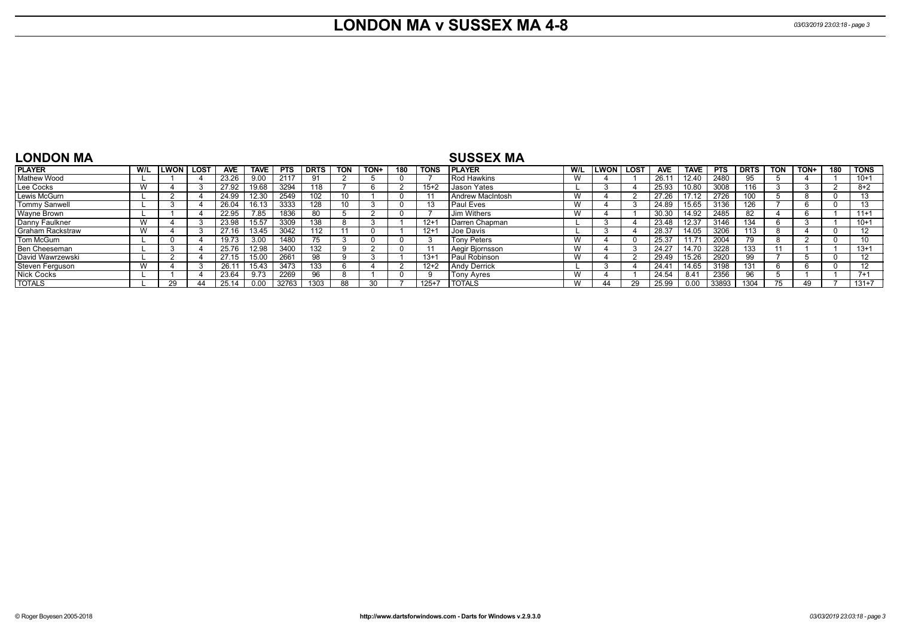## **LONDON MA v SUSSEX MA 4-8** *03/03/2019 23:03:18 - page 3*

| <b>LONDON MA</b>        |              |             |            |             |            |             |            |      |     |             | <b>SUSSEX MA</b>        |     |              |      |                |             |            |             |            |      |     |                   |
|-------------------------|--------------|-------------|------------|-------------|------------|-------------|------------|------|-----|-------------|-------------------------|-----|--------------|------|----------------|-------------|------------|-------------|------------|------|-----|-------------------|
| <b>PLAYER</b>           | W/L          | LWON   LOST | <b>AVE</b> | <b>TAVE</b> | <b>PTS</b> | <b>DRTS</b> | <b>TON</b> | TON+ | 180 | <b>TONS</b> | <b>PLAYER</b>           | W/L | <b>ILWON</b> | LOST | <b>AVE</b>     | <b>TAVE</b> | <b>PTS</b> | <b>DRTS</b> | <b>TON</b> | TON+ | 180 | <b>TONS</b>       |
| Mathew Wood             |              |             | 23.26      | 9.00        | 2117       | 91          |            |      |     |             | <b>Rod Hawkins</b>      | W   |              |      | 26.1           | 12.40       | 2480       | 95          |            |      |     | $10+1$            |
| Lee Cocks               |              |             | 27.92      | 19.68       | 3294       | 118         |            |      |     | $15+2$      | <b>Jason Yates</b>      |     |              |      | 25.93          | 10.80       | 3008       | 116         |            |      |     | $8 + 2$           |
| Lewis McGurn            |              |             | 24.99      | 12.30       | 2549       | 102         | 10         |      |     |             | <b>Andrew MacIntosh</b> | W   |              |      | 27.26          | 17.12       | 2726       | 100         |            |      |     |                   |
| <b>Tommy Sanwell</b>    |              |             | 26.04      | 16.13       | 3333       | 128         | 10         |      |     |             | <b>Paul Eves</b>        | W   |              |      | 24.89          | 15.65       | 3136       | 126         |            |      |     | 13                |
| Wayne Brown             |              |             | 22.95      | 7.85        | 1836       | 80          |            |      |     |             | <b>Jim Withers</b>      | W   |              |      | 30.30          | 14.92       | 2485       | 82          |            |      |     | $11+1$            |
| Danny Faulkner          | $\mathbf{M}$ |             | 23.98      | 15.57       | 3309       | 138         |            |      |     | $12 + 1$    | Darren Chapman          |     |              |      | 23.48          | 12.37       | 3146       | 134         |            |      |     | $10+1$            |
| <b>Graham Rackstraw</b> |              |             | 27.16      | 13.45       | 3042       | 112         | 11         |      |     | $12+1$      | Joe Davis               |     |              |      | 28.37          | 14.05       | 3206       | 113         | 8          |      |     | $12 \overline{ }$ |
| Tom McGurn              |              |             | 19.73      | 3.00        | 1480       | 75          |            |      |     |             | Tony Peters             | W   |              |      | 25.37          | 11.71       | 2004       | 79          |            |      |     |                   |
| Ben Cheeseman           |              |             | 25.76      | 12.98       | 3400       | 132         |            |      |     |             | Aegir Bjornsson         | W   |              |      | 24.27          | 14.70       | 3228       | 133         |            |      |     | $13 + 1$          |
| David Wawrzewski        |              |             | 27.15      | 15.00       | 2661       | 98          |            |      |     | $13+$       | Paul Robinson           | W   |              |      | 29.49          | 15.26       | 2920       | 99          |            |      |     | 12                |
| Steven Ferguson         | V V          |             | 26.1       | 15.43       | 3473       | 133         |            |      |     | $12+2$      | <b>Andy Derrick</b>     |     |              |      | $24.4^{\circ}$ | 14.65       | 3198       | 131         | n          |      |     | 12                |
| <b>Nick Cocks</b>       |              |             | 23.64      | 9.73        | 2269       | 96          |            |      |     |             | Tony Ayres              | W   |              |      | 24.54          | 8.41        | 2356       | 96          |            |      |     | $7 + 1$           |
| <b>TOTALS</b>           |              |             |            | 0.00        | 32763      | 1303        | 88         |      |     | $125 + 7$   | <b>TOTALS</b>           | W   |              | 29   | 25.99          | n nn        | 33893      | 1304        |            |      |     | $131+7$           |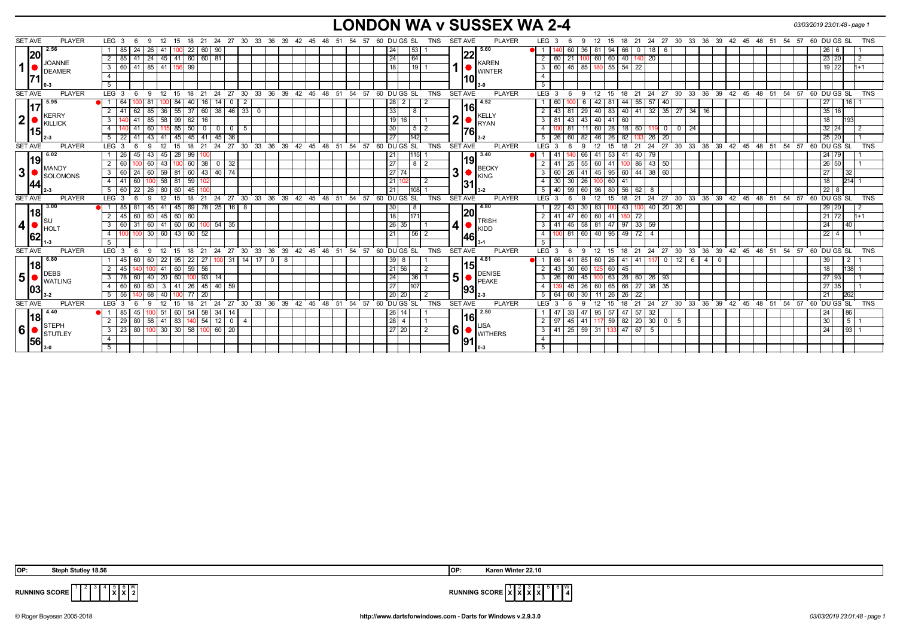## **LONDON WA v SUSSEX WA 2-4** *03/03/2019 23:01:48 - page 1*

| <b>SET AVE</b><br><b>PLAYER</b>  | LEG 3<br>12<br>15<br>- 6<br>9                          |                                              | 18 21 24 27 30 33 36 39 42 45 48 51 54         |                                        |     |                    |          | 57       | 60 DU GS SL                        | TNS        | <b>SET AVE</b> | <b>PLAYER</b>                 |                | LEG <sub>3</sub> | -9                          | $12 \overline{ }$ | 15                    | 18 21                     |                |                            |     |   |                            |            |          | 24 27 30 33 36 39 42 45 48 51 54 57 60 DUGS SL |                          |                 | TNS        |
|----------------------------------|--------------------------------------------------------|----------------------------------------------|------------------------------------------------|----------------------------------------|-----|--------------------|----------|----------|------------------------------------|------------|----------------|-------------------------------|----------------|------------------|-----------------------------|-------------------|-----------------------|---------------------------|----------------|----------------------------|-----|---|----------------------------|------------|----------|------------------------------------------------|--------------------------|-----------------|------------|
| 2.56                             | -24<br>26                                              | 22                                           | 60   90                                        |                                        |     |                    |          |          | 53 <br>24                          |            |                | 5.60                          |                |                  | 60<br>36 I                  | 81                | 94<br>66              | 18                        | I 6            |                            |     |   |                            |            |          |                                                | 26 6                     |                 |            |
| 20                               | 24   45   41   60   60   81<br>41                      |                                              |                                                |                                        |     |                    |          |          | 64 <br>24                          |            |                | 22                            |                | $2 \mid 60$      | 21                          | 60                | 60                    | 40   140   20             |                |                            |     |   |                            |            |          |                                                | 23 20                    |                 |            |
| <b>JOANNE</b><br>11<br>DEAMER    | 85   41<br>60 41<br>3                                  | 156 99                                       |                                                |                                        |     |                    |          |          | 119 L<br>18                        |            |                | <b>KAREN</b><br><b>WINTER</b> |                | 3 60             | $45 \mid 85$                | 180 55            |                       | $54$   22                 |                |                            |     |   |                            |            |          |                                                | $19$ 22                  |                 | $1+1$      |
| 171                              | $\overline{4}$                                         |                                              |                                                |                                        |     |                    |          |          |                                    |            |                | 10                            | $\overline{4}$ |                  |                             |                   |                       |                           |                |                            |     |   |                            |            |          |                                                |                          |                 |            |
|                                  |                                                        |                                              |                                                |                                        |     |                    |          |          |                                    |            |                |                               | $5^{\circ}$    |                  |                             |                   |                       |                           |                |                            |     |   |                            |            |          |                                                |                          |                 |            |
| <b>SET AVE</b><br><b>PLAYER</b>  | LEG <sup>3</sup><br>12<br>- 6<br>-9                    | 15<br>- 18<br>21                             | $^{\circ}$ 27<br>24                            | 30 33 36 39 42 45 48 51 54 57          |     |                    |          |          | 60 DUGS SL                         | <b>TNS</b> | <b>SET AVE</b> | <b>PLAYER</b>                 |                | LEG 3            | -9                          | 12                | 15                    | $18$ 21                   |                |                            |     |   |                            |            |          | 24 27 30 33 36 39 42 45 48 51 54 57 60 DUGS SL |                          |                 | <b>TNS</b> |
| 5.95                             | 8                                                      | 84<br>40<br>16                               | 14                                             | 2                                      |     |                    |          |          | 28 2                               |            |                | 4.52                          |                | 60               |                             | 42                | 81                    | 57<br>44 55               | $\vert$ 40     |                            |     |   |                            |            |          |                                                | 27                       | 16              |            |
| 117<br>KERRY                     | 85<br>62<br>-36 I                                      | $55 \mid 37$                                 | 60 38 46 33 0                                  |                                        |     |                    |          |          | 33                                 |            |                | 16<br><b>KELLY</b>            |                | 43               | 29 I<br>81                  |                   |                       |                           |                | 40 83 40 41 32 35 27 34 16 |     |   |                            |            |          |                                                | $35$ 16                  |                 |            |
| 2 <sup>1</sup><br>KILLICK        | $85 \mid 58 \mid$<br>3<br>$9 - 41$                     | $99   62  $<br> 16                           |                                                |                                        |     |                    |          |          | 19 <sup>1</sup>                    |            | 2 <sub>1</sub> | <b>RYAN</b>                   |                | $3 \mid 81$      | 43<br>$-43$                 |                   | 40 41 60              |                           |                |                            |     |   |                            |            |          |                                                | 18                       | 193             |            |
| 115 <sub>h</sub>                 | $0\overline{41}$<br>60                                 | $15 \t 85 \t 50$<br>$\overline{\phantom{0}}$ | $\mathbf{0}$<br>$\mathbf{0}$                   | - 5                                    |     |                    |          |          | 30<br>$\sqrt{5}$ $\sqrt{2}$        |            |                | 76                            |                |                  | 81                          | 60 28             |                       |                           |                | 18 60 119 0 0 24           |     |   |                            |            |          |                                                | $32$ 24                  |                 |            |
|                                  | 22 41<br>43 41 45 45                                   |                                              | 36<br>41 45                                    |                                        |     |                    |          |          | 27<br>1142                         |            |                | $3-2$                         |                | $5 \mid 26$      | 60<br>82                    | 46 26             |                       | 82 133<br>26              | 20             |                            |     |   |                            |            |          |                                                | 25 20                    |                 |            |
| <b>SET AVE</b><br><b>PLAYER</b>  | LEG <sub>3</sub><br>12                                 | 18<br>21<br>15                               | 24                                             | 27 30 33 36 39 42 45 48 51 54          |     |                    |          | 57       | 60 DU GS SL                        | <b>TNS</b> | <b>SET AVE</b> | <b>PLAYER</b>                 |                | LEG 3            | 9                           | 12                | 18<br>15              | 21                        | $24$ 27 30     |                            |     |   | 33 36 39 42 45 48 51 54 57 |            |          | 60 DU GS SL                                    |                          |                 | <b>TNS</b> |
| 6.02                             | 45<br>43<br>45 I<br>- 26                               | 28<br>99                                     |                                                |                                        |     |                    |          |          | 115 <br>  21                       |            |                | 3.40                          |                | -41              | 66                          | 41                | 53<br>41              | 40<br>79                  |                |                            |     |   |                            |            |          |                                                | 24 79                    |                 |            |
| 19 <br><b>MANDY</b>              | 60<br>2<br>43                                          | 38<br>$100$ 60                               | 32<br>$\cup$                                   |                                        |     |                    |          |          | 27<br>$82$                         |            |                | 19 <br><b>BECKY</b>           |                | 2   41           | 25<br>55                    | 60 41             |                       | $100$ 86                  | 43 50          |                            |     |   |                            |            |          |                                                | $26 \mid 50 \mid$        |                 |            |
| 3 <br>SOLOMONS                   | 60 24<br>60<br> 59 <br>3                               | $\sqrt{60}$<br>81                            | 43 40 74                                       |                                        |     |                    |          |          | 27 74                              |            | 31             | <b>KING</b>                   |                | 3   60           | 26                          | 45                | 95   60   44          |                           | 38 60          |                            |     |   |                            |            |          |                                                | 27                       | 32              |            |
| 44                               | 58<br>4 41 60                                          | 81<br>59                                     |                                                |                                        |     |                    |          |          | 21                                 | l 2        |                | 31                            |                | $4 \mid 30$      | 30<br>26                    | 100               | 60<br>41              |                           |                |                            |     |   |                            |            |          |                                                | 18                       | 214             |            |
|                                  | $60 \mid 22$<br>-5<br>26<br>80                         | 60<br>45                                     |                                                |                                        |     |                    |          |          | 21<br>11081                        |            |                | $3-2$                         |                | $5 \mid 40$      | 99<br>60                    | 96                | 80<br>56              | 62                        |                |                            |     |   |                            |            |          |                                                | 22<br>8                  |                 |            |
| <b>PLAYER</b><br><b>SET AVE</b>  | LEG <sub>3</sub><br>- 6<br>12<br>$\mathbf{q}$          | 18<br>21<br>15                               | 24 27 30 33 36 39 42 45 48 51 54 57 60 DUGS SL |                                        |     |                    |          |          |                                    | <b>TNS</b> | <b>SET AVE</b> | <b>PLAYER</b>                 |                | $LEG^{\prime}$ 3 | 9                           | 12                | 15<br>18              | $^{\circ}$ 21             |                |                            |     |   |                            |            |          | 24 27 30 33 36 39 42 45 48 51 54 57 60 DUGS SL |                          |                 | <b>TNS</b> |
| 3.00                             | 45<br>85   81<br>l 41                                  | 69<br>45                                     | 78 25 16                                       | - 8                                    |     |                    |          |          | 30 <sup>1</sup><br>-8              |            |                | 4.80                          |                | 22               | 43<br>-30 I                 | 83                | 100                   | 43 100                    | $40$   20   20 |                            |     |   |                            |            |          |                                                | 29 20                    |                 |            |
| 18 <br>∥s∪                       | 60<br>60   45   60<br>45                               | $\sqrt{60}$                                  |                                                |                                        |     |                    |          |          | 18<br>1171                         |            |                | 20<br><b>TRISH</b>            |                | $2 \mid 41$      | 47<br>60                    | 60 41             |                       | 180 72                    |                |                            |     |   |                            |            |          |                                                | 21 72                    |                 | $1+1$      |
| $\vert$ 4<br><b>HOL</b>          | $60$ 41 60 60 100 54 35<br>60 31<br>3                  |                                              |                                                |                                        |     |                    |          |          | 26 35                              |            | 4              | <b>KIDD</b>                   |                | $3 \mid 41$      | 45                          |                   |                       | 58 81 47 97 33 59         |                |                            |     |   |                            |            |          |                                                | 24                       | 40              |            |
| 62                               | 30   60   43   60<br>$\overline{4}$<br>100             | 52                                           |                                                |                                        |     |                    |          |          | 21<br> 56 2                        |            |                | 46                            | 4              | 100              | $81$ 60                     | 40 95             |                       | $49$ 72<br>$\overline{4}$ |                |                            |     |   |                            |            |          |                                                | 22<br>$\overline{4}$     |                 |            |
|                                  |                                                        |                                              |                                                |                                        |     |                    |          |          |                                    |            |                |                               | 5              |                  |                             |                   |                       |                           |                |                            |     |   |                            |            |          |                                                |                          |                 |            |
| <b>SET AVE</b><br><b>PLAYER</b>  | LEG <sub>3</sub><br>$12 \quad 15$<br>$6^{\circ}$<br>-9 | 18<br>$^{\circ}$ 21                          | 27<br>24                                       | 30 33                                  |     |                    |          |          | 36 39 42 45 48 51 54 57 60 DUGS SL | <b>TNS</b> | <b>SET AVE</b> | <b>PLAYER</b>                 |                | $LEG$ 3          | - 9                         | 12                | 15                    | 18 21                     | 24 27 30       |                            |     |   |                            |            |          | 33 36 39 42 45 48 51 54 57 60 DUGS SL          |                          |                 | <b>TNS</b> |
| 6.80                             | - 22 I<br>-60<br>60                                    | 95<br>22<br>271                              | 31<br>100 I                                    | 14 I<br>17 <sup>1</sup><br>$\mathbf 0$ | - 8 |                    |          |          | 39                                 |            |                | 4.81<br><b>15</b>             |                | 66               | 41<br>85                    | 60                | 26                    | 41   41                   | $^{\circ}$     | 12 I<br>-6                 | -41 | 0 |                            |            |          |                                                | 39                       | 2               |            |
| 18 <br><b>DEBS</b>               | -41                                                    | 59<br>60<br>56                               |                                                |                                        |     |                    |          |          | 21 56                              |            |                | <b>DENISE</b>                 | 2 I            | 43               | 30<br>60                    |                   | 60<br>45              |                           |                |                            |     |   |                            |            |          |                                                | 18                       | 138             |            |
| 5 <sup>1</sup><br><b>WATLING</b> | 40<br>60<br>$\sqrt{20}$<br>3<br>- 78                   | 93<br>60                                     | 14                                             |                                        |     |                    |          |          | 24<br> 36                          |            | 5 <sup>1</sup> | <b>PEAKE</b>                  |                | $3 \mid 26$      | 60<br>45 I                  |                   | 63                    | 28   60                   | $26$ 93        |                            |     |   |                            |            |          |                                                | 27 93                    |                 |            |
| 103                              | 60<br>60<br>60<br>4                                    | 26<br>41                                     | $45 \mid 40$<br>59                             |                                        |     |                    |          |          | 27<br>1107                         |            |                | 93                            | $\overline{4}$ |                  | 45<br><b>26</b>             | 60                | 65                    | 38<br>66 27               | 35             |                            |     |   |                            |            |          |                                                | 27 35                    |                 |            |
|                                  | 56<br>68<br>40<br>5                                    | $\overline{77}$<br>$\overline{20}$           |                                                |                                        |     |                    |          |          | 20 20                              |            |                |                               |                | $5 \mid 64$      | 60<br>30                    | 11                | 26<br>26 I            | $\overline{22}$           |                |                            |     |   |                            |            |          |                                                | 21                       | 262             |            |
| <b>SET AVE</b><br><b>PLAYER</b>  | LEG <sub>3</sub><br>12                                 | 18<br>21<br>15                               | 27<br>24                                       | 30<br>$33^\circ$<br>36                 | 39  | $42^{\circ}$<br>45 | 48<br>51 | 54<br>57 | 60 DUGS SL                         | <b>TNS</b> | <b>SET AVE</b> | <b>PLAYER</b>                 |                | LEG <sup>3</sup> |                             |                   | 15                    | 24<br>21                  | 27             | $\degree$ 30<br>33         | 36  |   | 39 42 45                   | $48 \t 51$ | 54<br>57 |                                                | $\overline{60}$ DU GS SL |                 | <b>TNS</b> |
| 4.40                             | 45                                                     | 60<br>-54<br>58 I                            | 34<br>14                                       |                                        |     |                    |          |          | 26<br>14                           |            |                | 2.50<br> 16                   |                | -47              | 33                          | 95                | 57<br>47 <sub>1</sub> | 57<br>32                  |                |                            |     |   |                            |            |          |                                                | 24                       | 86              |            |
| 18 <br>STEPH                     | 80<br>58 41 83<br>2<br>29                              | 140                                          | $54$ 12<br>$\overline{0}$                      | $\overline{4}$                         |     |                    |          |          | 28<br>$\overline{4}$               |            |                | <b>LISA</b>                   |                | $2 \mid 97$      | 45<br>41 I                  | 117 59            |                       | 82 20 30                  | l 0 I          | 5                          |     |   |                            |            |          |                                                | 30                       | 5 <sub>5</sub>  |            |
| ا 6<br>STUTLEY                   | 23 80<br>$100$ 30 30 58 $100$ 60 20<br>3               |                                              |                                                |                                        |     |                    |          |          | 27 20                              | $\vert$ 2  | 6!             | <b>WITHERS</b>                |                |                  | 3   41   25   59   31   133 |                   |                       | 47   67   5               |                |                            |     |   |                            |            |          |                                                | 24                       | $\overline{93}$ |            |
| 56                               |                                                        |                                              |                                                |                                        |     |                    |          |          |                                    |            |                | 91                            | $\overline{4}$ |                  |                             |                   |                       |                           |                |                            |     |   |                            |            |          |                                                |                          |                 |            |
|                                  |                                                        |                                              |                                                |                                        |     |                    |          |          |                                    |            |                |                               | 5              |                  |                             |                   |                       |                           |                |                            |     |   |                            |            |          |                                                |                          |                 |            |

| IOP: | Stenh<br>Stu<br>. <i>.</i><br>18.56<br>.<br>- - - | $IOP^+$ | <br>10<br>∟Winter<br>Karen |
|------|---------------------------------------------------|---------|----------------------------|

 **X X** 6 W **4**

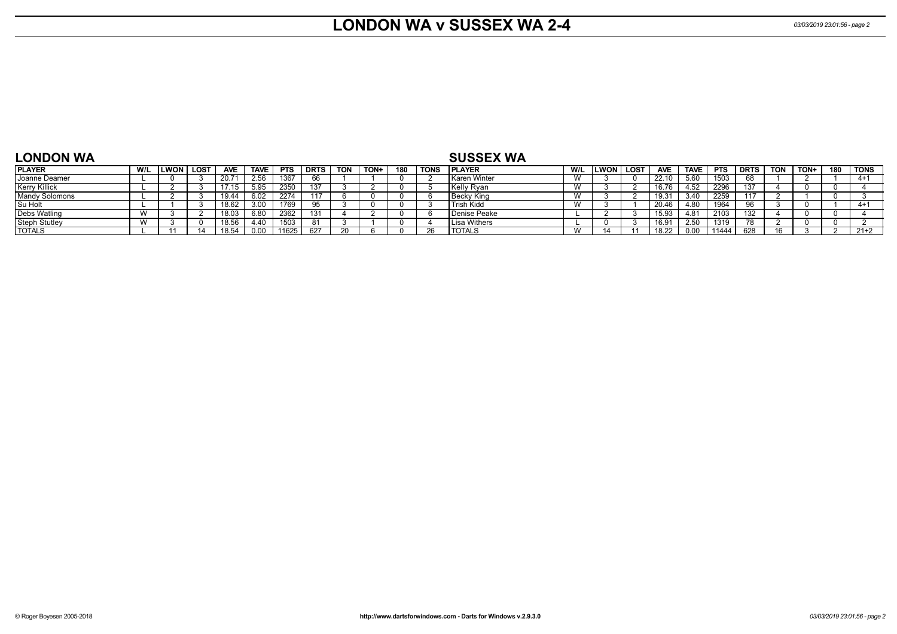#### **LONDON WA v SUSSEX WA 2-4** *03/03/2019 23:01:56 - page 2*

| <b>LONDON WA</b>      |     |                  |                   |             |             |             |            |      |     |             | <b>SUSSEX WA</b>  |     |        |             |            |             |            |             |            |      |     |             |
|-----------------------|-----|------------------|-------------------|-------------|-------------|-------------|------------|------|-----|-------------|-------------------|-----|--------|-------------|------------|-------------|------------|-------------|------------|------|-----|-------------|
| <b>PLAYER</b>         | W/L | <b>LWON LOST</b> | <b>AVE</b>        | <b>TAVE</b> | <b>PTS</b>  | <b>DRTS</b> | <b>TON</b> | TON+ | 180 | <b>TONS</b> | <b>IPLAYER</b>    | W/L | LWON I | <b>LOST</b> | <b>AVE</b> | <b>TAVE</b> | <b>PTS</b> | <b>DRTS</b> | <b>TON</b> | TON+ | 180 | <b>TONS</b> |
| Joanne Deamer         |     |                  | 20.7 <sup>2</sup> | 2.56        | 1367        | 66          |            |      |     |             | Karen Winter      |     |        |             | 22.10      | 5.60        | 1503       |             |            |      |     | $4 + 1$     |
| Kerry Killick         |     |                  | 17.15             |             | <b>2350</b> | 137         |            |      |     |             | Kelly Ryan        |     |        |             | 16.76      | 4.52        | 2296       | 137         |            |      |     |             |
| <b>Mandy Solomons</b> |     |                  | 19.44             | .02         | 2274        |             |            |      |     |             | ∣Becky King       |     |        |             | 19.31      | 3.40        | 2259       |             |            |      |     |             |
| Su Holt               |     |                  | 18.62             |             | 1769        | 95          |            |      |     |             | <b>Trish Kidd</b> |     |        |             | 20.46      | .80         | 1964       |             |            |      |     | $4+$        |
| <b>Debs Watling</b>   |     |                  | 18.03             | 6.80        | 2362        | 131         |            |      |     |             | Denise Peake      |     |        |             | 15.93      |             | 2103       | 132         |            |      |     |             |
| <b>Steph Stutley</b>  |     |                  | 18.56             | .40         | 1503        | 81          |            |      |     |             | Lisa Withers      |     |        |             | 16.91      | 2.50        | 1319       |             |            |      |     |             |
| <b>TOTALS</b>         |     |                  | 18.54             |             | 11625       | 627         |            |      |     |             | <b>TOTALS</b>     |     |        |             | 18.22      | 0.00        | 11444      | 628         |            |      |     | $21+2$      |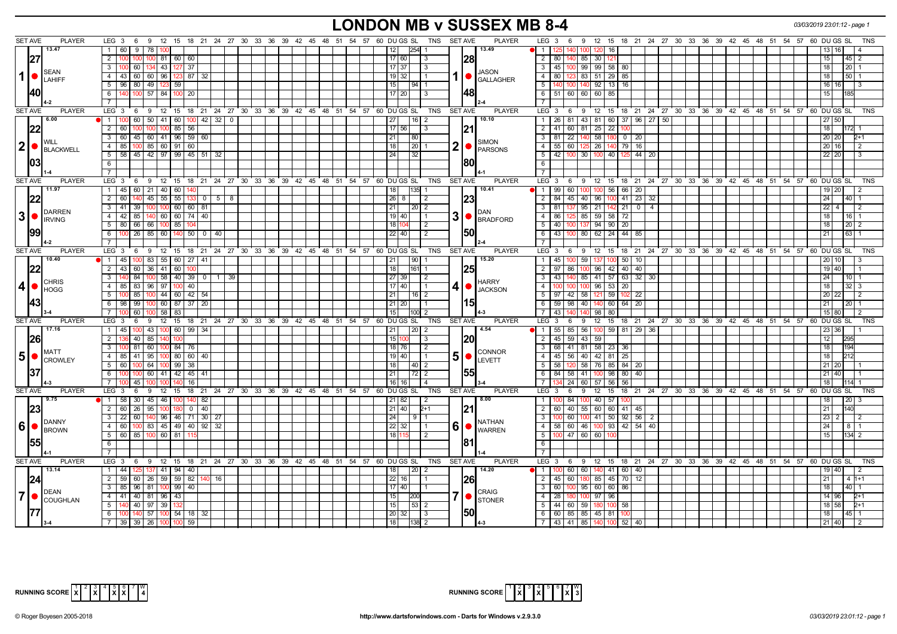# **LONDON MB v SUSSEX MB 8-4** *03/03/2019 23:01:12 - page 1*

| <b>SET AVE</b> | <b>PLAYER</b>                                                        | $LEG_3 6$                                                                   |                              |  | TNS SET AVE<br>9 12 15 18 21 24 27 30 33 36 39 42 45 48 51 54 57 60 DU GS SL | <b>PLAYER</b>                                       | LEG 3 6 9 12 15 18 21 24 27 30 33 36 39 42 45 48 51 54 57 60 DUGS SL<br><b>TNS</b>                |
|----------------|----------------------------------------------------------------------|-----------------------------------------------------------------------------|------------------------------|--|------------------------------------------------------------------------------|-----------------------------------------------------|---------------------------------------------------------------------------------------------------|
|                | 13.47                                                                | 1 60 9<br>78                                                                |                              |  | 254<br>12                                                                    | 13.49                                               | $\overline{1}$<br>1001<br>120 16                                                                  |
| 27             |                                                                      | $\overline{2}$<br>$100$ 81 60 60                                            |                              |  | 17 60<br>-3                                                                  | 28                                                  | $\overline{2}$<br>85 30 12<br>80   140<br>15<br>45   2                                            |
|                |                                                                      | $\overline{3}$<br>100 60 134 43 127 37                                      |                              |  | $17 \mid 37$<br>l 3                                                          |                                                     | 3 45 100 99 99 58 80<br>18<br>$20$   1                                                            |
| 1              | <b>SEAN</b>                                                          | 4 43 60 60 96                                                               | 123 87 32                    |  | 19   32  <br>l 1                                                             | <b>JASON</b><br>1   GALLAGHER                       | 80   123   83   51   29   85  <br>4 I<br>18 <sup>1</sup><br>5011                                  |
|                | <b>LAHIFF</b>                                                        | $5$   96   80   49   123   59                                               |                              |  | 15<br>$94$ 1                                                                 |                                                     | $\overline{5}$<br>140 100 140 92 13<br>16<br>16 16                                                |
|                | I40                                                                  | $100$ 57 84<br>6<br><b>1001</b>                                             | 20                           |  | $17$ 20<br>l 3                                                               | 1481                                                | 6 51 60 60 60 85<br>15 <sup>1</sup>                                                               |
|                |                                                                      |                                                                             |                              |  |                                                                              |                                                     |                                                                                                   |
|                |                                                                      | $7\phantom{0}$                                                              |                              |  |                                                                              |                                                     | $7\overline{ }$                                                                                   |
| <b>SET AVE</b> | <b>PLAYER</b>                                                        |                                                                             |                              |  | LEG 3 6 9 12 15 18 21 24 27 30 33 36 39 42 45 48 51 54 57 60 DUGS SL TNS     | <b>SET AVE</b><br><b>PLAYER</b>                     | LEG 3 6 9 12 15 18 21 24 27 30 33 36 39 42 45 48 51 54 57 60 DUGS SL<br><b>TNS</b>                |
|                | 6.00                                                                 | 100 60<br>50   41   60<br>l 1 l                                             | $100 \mid 42 \mid 32 \mid 0$ |  | 27<br>$16$   2                                                               | 10.10                                               | 26   81   43   81   60   37   96   27   50  <br>$\overline{1}$<br>27 50                           |
| 22             |                                                                      | $2 \mid 60$<br>100 100 85                                                   | 56                           |  | $17$ 56<br>$\vert$ 3                                                         | 21                                                  | $-41$ 60<br>81 25 22<br>2 <sup>1</sup><br>18<br>100<br>$172 - 1$                                  |
|                |                                                                      | 3   60   45   60   41   96   59   60                                        |                              |  | 21<br>80                                                                     |                                                     | 3 <sup>1</sup><br>81 22 140<br>58 180<br>$0 \mid 20$<br>20 20<br>$2+1$                            |
| 2              | <b>WILL</b><br>BLACKWELL                                             | 85<br>85 60 91<br>4 I<br>100 <sub>l</sub>                                   | 60                           |  | 18<br> 20                                                                    | <b>SIMON</b><br>2<br>PARSONS                        | $\overline{4}$<br>55 60<br>26<br>79 16<br>20 16<br>1251<br>l 2                                    |
|                |                                                                      | 5   58   45   42   97   99   45   51   32                                   |                              |  | 24 <br>32                                                                    |                                                     | 5<br>42   100<br>30 100 40<br>44   20<br>1251<br>22   20  <br>l 3                                 |
| 103            |                                                                      | 6                                                                           |                              |  |                                                                              | 80                                                  | 6                                                                                                 |
|                |                                                                      | <b>7</b> I                                                                  |                              |  |                                                                              |                                                     | $\overline{7}$                                                                                    |
| <b>SET AVE</b> | <b>PLAYER</b>                                                        | LEG 3<br>6                                                                  |                              |  | <b>TNS</b><br>9 12 15 18 21 24 27 30 33 36 39 42 45 48 51 54 57 60 DUGS SL   | <b>SET AVE</b><br><b>PLAYER</b>                     | LEG 3<br>$9 \t12 \t15$<br>18 21 24 27 30 33 36 39 42 45 48 51 54 57 60 DUGS SL<br><b>TNS</b><br>6 |
|                | 11.97                                                                | 1 45 60<br>21   40   60                                                     |                              |  | 135<br>18                                                                    | 10.41                                               | 100 56 66 20<br>$\vert$ 1<br>99   60  <br>100<br>19 20                                            |
|                |                                                                      | $\overline{2}$                                                              |                              |  |                                                                              |                                                     | 40l                                                                                               |
|                | 22                                                                   | 55<br>55<br>60<br>45                                                        | $\overline{0}$<br>5<br>8     |  | 26<br>$\overline{2}$                                                         | 23                                                  | $\overline{2}$<br>40 96<br>$41 \mid 23$<br>24<br>84<br>45<br>-32                                  |
|                | DARREN                                                               | $3 \mid 41 \mid$<br>$100$ 60 60 81<br>39                                    |                              |  | 21<br>$\boxed{20}$ 2                                                         | DAN                                                 | $\overline{\mathbf{3}}$<br>$95$ 21<br>$21$ 0<br>81<br>$22 \mid 4 \mid$<br>I 4<br>l 2              |
| 3 •            | <b>IRVING</b>                                                        | 4 4 42 85 140 60 60 74 40                                                   |                              |  | 19 40<br>$\overline{1}$                                                      | $3$ $\bullet$ $\mathsf{BrADFORD}$                   | 85 59 58<br>$\overline{72}$<br>$\overline{4}$<br>86 125<br>18 <sup>1</sup><br>1611                |
|                |                                                                      | 5 80 66<br>66 100 85                                                        |                              |  | 18<br>2                                                                      |                                                     | 5<br>40<br>137<br>$94$ 90<br>20<br>18 <sup>1</sup><br>$20$   2                                    |
|                |                                                                      | $6 \mid 100 \mid 26 \mid 85 \mid 60 \mid 140 \mid 50 \mid 0 \mid 40$        |                              |  | 22   40  <br>$\sqrt{2}$                                                      | 1501                                                | 6<br>43 100<br>80 62 24<br>$44 \mid 85$<br>$63 \mid 1$<br>21                                      |
|                |                                                                      | 7 <sup>1</sup>                                                              |                              |  |                                                                              |                                                     | $\overline{7}$                                                                                    |
| <b>SET AVE</b> | <b>PLAYER</b>                                                        | LEG 3<br>9<br>6                                                             |                              |  | 12 15 18 21 24 27 30 33 36 39 42 45 48 51 54 57 60 DUGS SL<br>TNS            | <b>SET AVE</b><br><b>PLAYER</b>                     | LEG 3<br>12 15 18 21 24 27 30 33 36 39 42 45 48 51 54 57 60 DUGS SL<br>TNS<br>- 6<br>9            |
|                | 10.40                                                                | 1 45 100 83 55 60 27 41                                                     |                              |  | 21 <br> 90 1                                                                 | 15.20                                               | 59 137 100 50 10<br>45 100<br>1<br>20 10                                                          |
|                | 22                                                                   | 2 43 60 36 41 60                                                            |                              |  | 18 <br>161 1                                                                 | <b>25</b>                                           | 100 96 42 40 40<br>$\overline{2}$<br>$97$ 86<br>19 40                                             |
|                |                                                                      | $\overline{\mathbf{3}}$<br>$100 \mid 58 \mid 40 \mid 39 \mid 0$<br>140 84 1 | 39<br>1 <sup>1</sup>         |  | 27 39<br>l 2                                                                 |                                                     | $\overline{\mathbf{3}}$<br>85 41 57 63 32 30<br>43   140<br>24 <sup>1</sup><br>10 I 1             |
|                | <b>CHRIS</b>                                                         | 4 85 83 96 97 100 40                                                        |                              |  | 17 40 <br>l 1                                                                | <b>HARRY</b>                                        | $\overline{4}$<br>20<br>100 96 53<br>18<br>$32 \mid 3$                                            |
| $\vert$        | <b>HOGG</b>                                                          |                                                                             |                              |  |                                                                              | 4 ●<br><b>JACKSON</b>                               | $5\sqrt{ }$<br>97 42 58 121 59                                                                    |
|                |                                                                      | 5 100 85 100 44 60 42 54                                                    |                              |  | 21<br>$16$ 2                                                                 |                                                     | 102 22<br>20 22<br>$\overline{2}$                                                                 |
|                |                                                                      | 6 98 99 100 60 87 37 20                                                     |                              |  | 21   20  <br>$\overline{1}$ 1                                                | l15I                                                | 59   98   40   140   60   64   20<br>6<br>21 <sup>1</sup><br>2011                                 |
|                |                                                                      | 60<br>$100$ 58 83<br>7 I                                                    |                              |  | 15<br>100 2                                                                  |                                                     | $\overline{7}$<br>43 140<br>140 98 80<br>15 80<br>l 2                                             |
| <b>SET AVE</b> | <b>PLAYER</b>                                                        | $LEG_3$<br>6                                                                |                              |  | 9 12 15 18 21 24 27 30 33 36 39 42 45 48 51 54 57 60 DUGS SL<br>TNS          | <b>PLAYER</b><br><b>SET AVE</b>                     | 9 12 15 18 21 24 27 30 33 36 39 42 45 48 51 54 57 60 DUGSSL<br>$LEG_3$ 6<br><b>TNS</b>            |
|                | 17.16                                                                | 1 45 100 43 100 60 99 34                                                    |                              |  | 21 <br>  20   2                                                              | 4.54                                                | 55   85   56   100   59   81   29   36<br>11<br>23   36                                           |
| <u> 26 </u>    |                                                                      | 40<br>2 <sup>1</sup><br>85<br>140                                           |                              |  | 15<br>$\overline{3}$                                                         | 20                                                  | $45 \mid 59 \mid$<br>43 59<br>$\overline{2}$<br>12<br>295                                         |
|                |                                                                      | 100 81 60 100 84 76<br>3 I                                                  |                              |  | 18 76<br>$\sqrt{2}$                                                          |                                                     | 68 41 81 58 23 36<br>18<br>$\overline{3}$                                                         |
|                | MATT<br>$\vert 5 \vert \bullet \vert_{\text{CROWLEY}}^{\text{MAII}}$ | 4   85   41   95   100   80   60   40                                       |                              |  | 19   40                                                                      | <b>CONNOR</b><br>5 <sup>1</sup><br>$\bullet$ Levett | 4<br>45   56   40   42   81  <br>25<br>18 <sup>1</sup>                                            |
|                |                                                                      | $5 \mid 60 \mid$<br>64 100 99<br>100                                        | -38                          |  | 18<br> 40 2                                                                  |                                                     | $5\overline{)}$<br>58 76 85<br>$84$ 20<br>58<br>21 20                                             |
| 137            |                                                                      | 60 41 42 45 41<br>- 6 I<br>100 I<br>100                                     |                              |  | 21                                                                           | 155                                                 | $84$ 58<br>41 100 98<br>$80 \mid 40$<br>6<br>21 40                                                |
|                |                                                                      | -7 I<br>45<br>14ſ                                                           | 16                           |  | 16 <br>l 4                                                                   |                                                     | $\overline{7}$<br>134   24  <br>60 57 56<br>56<br>18<br>114 1                                     |
| <b>SET AVE</b> | <b>PLAYER</b>                                                        | LEG 3<br>6                                                                  |                              |  | 9 12 15 18 21 24 27 30 33 36 39 42 45 48 51 54 57 60 DUGS SL<br>TNS          | <b>PLAYER</b><br><b>SET AVE</b>                     | $LEG_3$ 6<br>9 12 15 18 21 24 27 30 33 36 39 42 45 48 51 54 57 60 DUGS SL                         |
|                | 9.75                                                                 | $1 \t 58 \t 30$<br>$45 \mid 46 \mid$<br>100                                 | $140$ 82                     |  | 21 82<br>$\overline{2}$                                                      | 8.00                                                | $\overline{1}$<br>40 57<br>$ 00 $ 84<br>18 <sup>1</sup><br>20<br>1001<br>100                      |
|                |                                                                      | 2   60   26<br>95   100  <br>180                                            | $0$   40                     |  | 21 40                                                                        |                                                     | $\overline{2}$<br>55 60 60 41 45<br>60   40  <br>21 <sup>1</sup><br>140                           |
|                | 23                                                                   |                                                                             |                              |  | $2+1$                                                                        | 21                                                  |                                                                                                   |
|                | <b>DANNY</b>                                                         | 140 96 46 71 30 27<br>$22$ 60<br>$3-1$                                      |                              |  | 24<br>9                                                                      | <b>NATHAN</b>                                       | $100$ 41 50 92 56 2<br>$\overline{\mathbf{3}}$<br>$100$ 60<br>23   2                              |
|                | $60$ $\degree$ $\degree$ BROWN                                       | 4 60 100 83 45 49 40 92                                                     | 32                           |  | 22 32<br>l 1                                                                 | 6   WARREN                                          | $\overline{4}$<br>58 60 46 100 93 42 54 40<br>24 <sup>1</sup><br>8   1                            |
|                |                                                                      | 5   60   85   100   60   81                                                 |                              |  | 18<br>$\overline{2}$                                                         |                                                     | $\overline{5}$<br>100 47 60 60 100<br>$134$ 2<br>15 <sup>1</sup>                                  |
| 155            |                                                                      | 6                                                                           |                              |  |                                                                              | 81                                                  | 6                                                                                                 |
|                |                                                                      |                                                                             |                              |  |                                                                              |                                                     | $\overline{7}$                                                                                    |
| <b>SET AVE</b> | <b>PLAYER</b>                                                        | LEG <sub>3</sub><br>6                                                       |                              |  | 9 12 15 18 21 24 27 30 33 36 39 42 45 48 51 54 57 60 DUGSSL<br><b>TNS</b>    | <b>SET AVE</b><br><b>PLAYER</b>                     | $LEG_3$ 6<br>9 12 15<br>18 21 24 27 30 33 36 39 42 45 48 51 54 57 60 DUGS SL<br><b>TNS</b>        |
|                | 13.14                                                                | 1 44 125<br>137 41 94 40                                                    |                              |  | $\vert 20 \vert 2 \vert$<br>18                                               | 14.20                                               | 1   100   60   60   140   41   60   40<br>19 40<br>l 2                                            |
| 124            |                                                                      | 60   26   59   59   82  <br>2 59                                            | 16                           |  | 22 <br>16<br>$\overline{1}$                                                  | <b>26</b>                                           | $70$ 12<br>2<br>45   60  <br>180<br>85 45<br>21 <sup>1</sup><br>$4h+1$                            |
|                |                                                                      | 3   85   96   81   100   99   40                                            |                              |  | 17 40 <br>  1                                                                |                                                     | $\overline{3}$<br>95   60   60<br>86<br>60 100<br>18<br>$40$ 1                                    |
| $\mathbf{7}$   | DEAN                                                                 | 4 41 40 81 96 43                                                            |                              |  | 15<br><b>200</b>                                                             | <b>CRAIG</b><br>7 ●                                 | $-4$<br>28   180   100   97   96<br>$2+1$<br>14 96                                                |
|                | COUGHLAN                                                             | 140 40 97 39<br>51                                                          |                              |  | 15 <br> 53 2                                                                 | <b>STONER</b>                                       | 5<br>$44 \mid 60$<br>59 180 100<br>58<br>18 58<br>$2+1$                                           |
|                |                                                                      |                                                                             |                              |  | 20 32                                                                        | <b>50</b>                                           | 6<br>18                                                                                           |
|                |                                                                      | 6 100 140 57 100 54 18 32                                                   |                              |  | l 3                                                                          |                                                     | 60 85 85 45 81<br>100<br>$45 \mid 1$                                                              |
|                |                                                                      | 7 39 39 26 100 100 59                                                       |                              |  | $\overline{118}$<br>$138$ 2                                                  |                                                     | $\overline{7}$ 43 41 85 140 100 52 40<br>$21 \ 40$<br>$\overline{2}$                              |



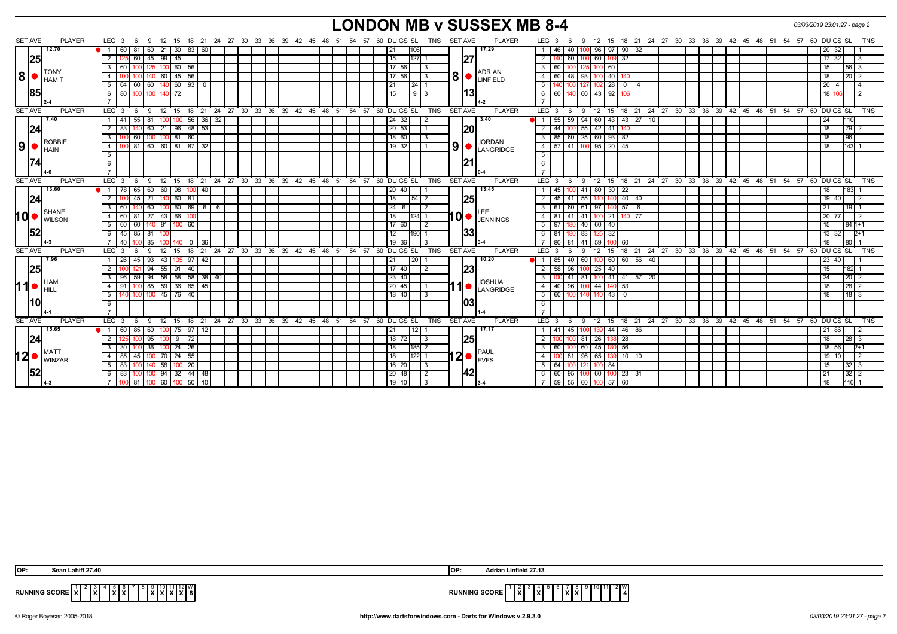## **LONDON MB v SUSSEX MB 8-4** *03/03/2019 23:01:27 - page 2*

| <b>SET AVE</b><br><b>PLAYER</b><br>9 12 15 18 21 24 27 30 33 36 39 42 45 48 51 54 57 60 DUGS SL<br>SET AVE<br><b>PLAYER</b><br>12 15 18 21 24 27 30 33 36 39 42 45 48 51 54 57 60 DU GS SL<br>LEG $3 \quad 6$<br>TNS<br>LEG 3<br>9<br>12.70<br>17.29<br>  60   21   30   83   60<br>96 97 90 32<br>81<br>$\bullet$ 1 60<br> 21<br>106<br>46<br>40<br>$\overline{1}$<br>100<br> 25 <br>32<br>45 99 45<br>15<br> 27 <br>2 125<br>60<br> 127  1<br>2<br>60 l<br>60 109<br>100 | TNS<br>20 32                       |
|----------------------------------------------------------------------------------------------------------------------------------------------------------------------------------------------------------------------------------------------------------------------------------------------------------------------------------------------------------------------------------------------------------------------------------------------------------------------------|------------------------------------|
|                                                                                                                                                                                                                                                                                                                                                                                                                                                                            |                                    |
|                                                                                                                                                                                                                                                                                                                                                                                                                                                                            | 17 32                              |
| $100$ 60 $\overline{56}$<br>17 56 <br>3 60<br>$\mathbf{3}$<br>60 I<br>$\vert$ 3<br>100 60<br>100<br>125<br>1001                                                                                                                                                                                                                                                                                                                                                            | 15<br>$56 \mid 3$                  |
| <b>TONY</b><br><b>ADRIAN</b><br> 8 <br>$80$ $\sim$ $\sim$ $\sim$<br>$45$ 56<br>17 56<br>$\overline{4}$<br>60<br>$\overline{4}$<br>60<br>93<br>100 40<br>48                                                                                                                                                                                                                                                                                                                 | 18 <sup>1</sup>                    |
| <b>I</b> HAMIT<br>60<br>$140$ 60   93  <br> 24 1<br>$102$ 28<br>5 64<br>60<br>$\overline{0}$<br>21<br>5<br>127<br>$\overline{0}$<br>140<br>$\overline{4}$                                                                                                                                                                                                                                                                                                                  | $20 \mid 4$                        |
| <b>85</b><br>l13l<br>100 100 140 72<br>15<br>60   140   60   43   92  <br>6 80<br>913<br>6<br>106                                                                                                                                                                                                                                                                                                                                                                          | 18 106                             |
|                                                                                                                                                                                                                                                                                                                                                                                                                                                                            |                                    |
| <b>SET AVE</b><br>9 12 15 18 21 24 27 30 33 36 39 42 45 48 51 54 57 60 DUGSSL<br><b>PLAYER</b><br>12 15 18 21 24 27 30 33 36 39 42 45 48 51 54 57 60 DUGS SL TNS<br><b>PLAYER</b><br>$LEG_3$ 6<br>TNS<br>SET AVE<br>LEG 3<br>9<br>- 6                                                                                                                                                                                                                                      |                                    |
| 3.40<br>7.40<br>$\sqrt{56}$ 36 32<br>$43$   27   10<br>55<br>55<br>59<br>94<br>60 43<br>.81<br> 24 32 <br>1   41<br>-2<br><b>H</b> 1<br>ΙW<br>100                                                                                                                                                                                                                                                                                                                          | 24 I                               |
| 24 <br> 20<br>$2 \mid 83$<br>$60$   21  <br>  96   48   53<br>20 53<br>$\overline{2}$<br>44<br>55<br>42 41                                                                                                                                                                                                                                                                                                                                                                 | 18<br>79 2                         |
| 25 60 93<br>82<br>60<br>81<br>$\overline{60}$<br>18 60<br>$\overline{\mathbf{3}}$<br>$85$ 60<br>3 <sup>1</sup><br>100 100<br>ROBBIE                                                                                                                                                                                                                                                                                                                                        | 18<br>96                           |
| <b>JORDAN</b><br> 9 ·<br> 9 <br>100 81 60 60 81 87 32<br>19 32 <br>$57$ 41 100 95 20<br>45<br>$-4$<br>4 I<br>IO LANGRIDGE<br><b>I</b> HAIN                                                                                                                                                                                                                                                                                                                                 | 18<br>$143 \quad 1$                |
| 5<br>5                                                                                                                                                                                                                                                                                                                                                                                                                                                                     |                                    |
| <u>1211</u><br>6<br>- 6                                                                                                                                                                                                                                                                                                                                                                                                                                                    |                                    |
|                                                                                                                                                                                                                                                                                                                                                                                                                                                                            |                                    |
| <b>SET AVE</b><br><b>PLAYER</b><br>LEG $3 \quad 6$<br>9 12 15 18 21 24 27 30 33 36 39 42 45 48 51 54 57 60 DUGS SL<br>TNS SET AVE<br><b>PLAYER</b><br>LEG $3 \quad 6$<br>9 12 15 18 21 24 27 30 33 36 39 42 45 48 51 54 57 60 DUGS SL                                                                                                                                                                                                                                      | <b>TNS</b>                         |
| 13.60<br>13.45<br>$\overline{22}$<br>65<br>60<br>60<br><b>1</b> 78<br>98<br>40<br>45<br>41<br>80 30<br>40<br>$\overline{1}$<br>20                                                                                                                                                                                                                                                                                                                                          | 18                                 |
| 24<br>140 140 40 40<br>$2 \ 100$<br>45 21 140 60 81<br>18<br>25<br>$45$   41   55<br>$\overline{2}$                                                                                                                                                                                                                                                                                                                                                                        | 19 40<br>$\overline{2}$            |
| 140 60 100 60 69 6 6<br>24<br>61<br>$97$ 140 57 6<br>3 60<br>$\vert$ 2<br>$\mathbf{3}$<br>61   60  <br>6                                                                                                                                                                                                                                                                                                                                                                   | 21<br>19 <sup>1</sup>              |
| SHANE<br>10 MILSON<br>10<br>81 27 43 66 100<br>41<br>$4 \overline{60}$<br>18<br>$124$ 1<br>$\overline{4}$<br>81<br> 41 <br>$100$ 21<br>$\overline{77}$<br>140 I<br><b>JENNINGS</b>                                                                                                                                                                                                                                                                                         | 20 77<br>l 2                       |
| 5 60 60 140 81 100 60<br>$117$ 60<br>97 180 40 60 40<br>5<br>$\frac{12}{2}$                                                                                                                                                                                                                                                                                                                                                                                                | 15<br>$841+1$                      |
| 152<br> 33 <br>6 45 85 81 100<br>12<br>180 83<br>190 1<br>6<br>81<br>125 32                                                                                                                                                                                                                                                                                                                                                                                                | 13 32<br>$2+1$                     |
| 19<br>7   40<br>85<br>$\overline{7}$<br>80<br>41<br>59 100<br>60<br>$\overline{0}$<br>-36<br>36<br>-3<br>81                                                                                                                                                                                                                                                                                                                                                                | 18 <sup>1</sup><br>80 1            |
| 18 21 24 27 30 33 36 39 42 45 48 51 54 57 60 DUGS SL<br>18 21 24 27 30 33 36 39 42 45 48 51 54 57 60 DUGS SL<br><b>SET AVE</b><br><b>TNS</b><br>SET AVE<br>LEG <sup>®</sup><br><b>PLAYER</b><br>LEG <sub>3</sub><br><b>PLAYER</b><br>12<br>9<br>12 <sup>2</sup><br>15<br>- 3<br>9<br>15<br>6                                                                                                                                                                               | TNS                                |
| 7.96<br>1 26<br>$93 \mid 43 \mid$<br>$135$ 97<br>42<br> 21 <br> 20 <br>10.20<br>85   40  <br>60<br>100 60<br>60 56 40<br>45                                                                                                                                                                                                                                                                                                                                                | 23 40                              |
| 25 <br> 23 <br>$25 - 40$<br>$94$ 55 91<br>$\sqrt{40}$<br>17140<br>58<br>$2^{\circ}$<br>$\overline{2}$<br>2<br>96<br>100                                                                                                                                                                                                                                                                                                                                                    | 15 <sup>1</sup><br>182 1           |
| 3   96   59   94   58   58   58   38   40<br> 23 40<br>$\mathbf{3}$<br>$100$ 41 81<br>$100$ 41 41 57 20                                                                                                                                                                                                                                                                                                                                                                    | 24 <sup>1</sup><br>20 <sub>2</sub> |
| <b>JOSHUA</b><br>LIAM<br>11<br>100 85 59 36 85 45<br>$-53$<br>20 45 <br>$\overline{4}$<br>40   96  <br>44<br>4   91<br>100<br>LANGRIDGE<br>+40 ·<br>$\blacksquare$ lent                                                                                                                                                                                                                                                                                                    | 18 <sup>1</sup><br>$28$   2        |
| 100 45 76 40<br>$-5$<br>60 100<br>$18$ 40<br>$\mathbf 0$<br>51<br>100<br>-3<br>140<br>140 43                                                                                                                                                                                                                                                                                                                                                                               | $18 \mid 3$<br>18 <sup>1</sup>     |
| 10 <br>103<br>6<br>6                                                                                                                                                                                                                                                                                                                                                                                                                                                       |                                    |
|                                                                                                                                                                                                                                                                                                                                                                                                                                                                            |                                    |
| $LEG_3$ 6<br>9 12 15 18 21 24 27 30 33 36 39 42 45 48 51 54 57 60 DUGS SL<br><b>TNS</b><br><b>SET AVE</b><br><b>PLAYER</b><br>12 15 18 21 24 27 30 33 36 39 42 45 48 51 54 57 60 DUGS SL<br><b>SET AVE</b><br><b>PLAYER</b><br>LEG <sub>3</sub><br>- 6<br>9                                                                                                                                                                                                                | <b>TNS</b>                         |
| 15.65<br>17.17<br>$75$ 97 12<br> 12 <br>$46 \mid 86$<br>$\bullet$ 1 60<br>85<br>l 60 l<br>21<br>45<br>139 44<br>$\mathbf{1}$<br>-41<br>100                                                                                                                                                                                                                                                                                                                                 | 21 86                              |
| <u> 24</u><br>18<br><b>1251</b><br>28<br>2<br>95<br>72<br>26<br>81<br>9<br>72 I<br><b>I</b> 3                                                                                                                                                                                                                                                                                                                                                                              | 18<br>28 3                         |
| 56<br>18<br>24<br>$\mathbf{3}$<br>60<br>3<br>36<br>26<br>185 2<br>60<br>45<br>-30                                                                                                                                                                                                                                                                                                                                                                                          | 18 56<br>$2+1$                     |
| $12$ $\bullet$ $\frac{1}{WINZAR}$<br>$12 \bullet  _{\text{EVES}}^{\text{PAUL}}$<br>$10$   10<br>$70 \mid 24$<br>55<br>18<br>$ 122 $ 1<br>96<br>4   85<br>45<br>$\overline{4}$<br>81<br>65 I                                                                                                                                                                                                                                                                                | 19 10                              |
| 20<br> 16 20<br>$5 \t 83$<br>58<br>l 3<br>5<br>64<br>100 84<br>121<br>10U<br><b>100</b>                                                                                                                                                                                                                                                                                                                                                                                    | 15 <sup>1</sup><br>$32 \mid 3$     |
| 142<br>$32 \mid 44 \mid 48$<br>94<br>20 48<br>95<br>60 100 23 31<br>6   83<br>60 I<br>1001                                                                                                                                                                                                                                                                                                                                                                                 | $32 \mid 2$<br>21 <sub>1</sub>     |
| $\frac{59}{56}$ 55 60 100 57 60<br>100 60 100 50 10<br> 19 10 <br>7 100 81<br>IЗ                                                                                                                                                                                                                                                                                                                                                                                           | $1110$ 1<br>18                     |

| OP:<br><b>Cost</b>                                                         | 127.13<br><b>OF</b>                                             |
|----------------------------------------------------------------------------|-----------------------------------------------------------------|
| <b>RUNNING SCORE</b><br>.<br>.<br>.<br>K I X I 8<br>$\mathbf{L}$<br>.<br>. | 12M<br><b>RUNNING SCORE</b><br>. <b>.</b><br>.<br>. .<br>.<br>. |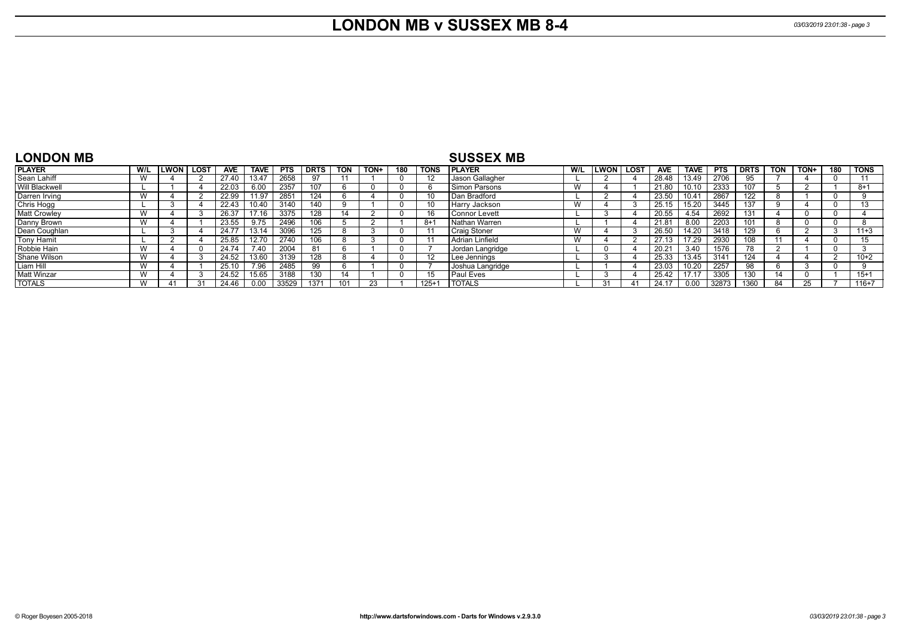## **LONDON MB v SUSSEX MB 8-4** *03/03/2019 23:01:38 - page 3*

| <b>LONDON MB</b>    |     |             |             |            |             |            |             |            |      |            |             | <b>SUSSEX MB</b>     |     |             |                |            |                  |            |                  |     |      |     |             |
|---------------------|-----|-------------|-------------|------------|-------------|------------|-------------|------------|------|------------|-------------|----------------------|-----|-------------|----------------|------------|------------------|------------|------------------|-----|------|-----|-------------|
| <b>PLAYER</b>       | W/L | <b>LWON</b> | <b>LOST</b> | <b>AVE</b> | <b>TAVE</b> | <b>PTS</b> | <b>DRTS</b> | <b>TON</b> | TON+ | 180        | <b>TONS</b> | <b>PLAYER</b>        | W/L | <b>LWON</b> | <b>LOST</b>    | <b>AVE</b> | <b>TAVE</b>      | <b>PTS</b> | <b>DRTS</b>      | TON | TON+ | 180 | <b>TONS</b> |
| Sean Lahiff         |     |             |             | 27.40      | 13.47       | 2658       |             |            |      | -0         |             | Jason Gallagher      |     |             |                | 28.48      | 13.49            | 2706       |                  |     |      |     |             |
| Will Blackwell      |     |             |             | 22.03      | 6.00        | 2357       | 107         |            |      |            |             | l Simon Parsons      | W   |             |                | 21.80      | 10.10            | 2333       | 107              |     |      |     | $8 + 1$     |
| Darren Irving       |     |             |             | 22.99      | 11.97       | 2851       | 124         |            |      |            |             | Dan Bradford         |     |             |                | 23.50      | 0.4 <sup>2</sup> | 2867       | $\overline{122}$ |     |      |     |             |
| Chris Hogg          |     |             |             | 22.43      | 0.40        | 3140       | 140         |            |      |            |             | Harry Jackson        |     |             |                | 25.15      | 15.20            | 3445       | 137              |     |      |     |             |
| <b>Matt Crowley</b> |     |             |             | 26.37      | 17.16       | 3375       | 128         |            |      | - ( )      |             | <b>Connor Levett</b> |     |             |                | 20.55      | 4.54             | 2692       | 131              |     |      |     |             |
| Danny Brown         |     |             |             | 23.55      | 9.75        | 2496       | 106         |            |      |            | 8+          | Nathan Warren        |     |             |                | 21.81      | 8.00             | 2203       | 101              |     |      |     |             |
| Dean Coughlan       |     |             |             | 24.77      | 13.14       | 3096       | 125         |            |      | - ( )      |             | <b>Craig Stoner</b>  |     |             |                | 26.50      | 14.20            | 3418       | 129              |     |      |     | $11+3$      |
| Tony Hamit          |     |             |             | 25.85      | 12.70       | 2740       | 106         |            |      |            |             | Adrian Linfield      | W   |             |                | 27.13      | 17.29            | 2930       | 108              |     |      |     |             |
| Robbie Hain         |     |             |             | 24.74      | 7.40        | 2004       | 81          |            |      |            |             | Jordan Langridge     |     |             |                | 20.21      | 3.40             | 1576       | 78               |     |      |     |             |
| Shane Wilson        |     |             |             | 24.52      | 13.60       | 3139       | 128         |            |      | $^{\circ}$ |             | Lee Jennings         |     |             |                | 25.33      | 13.45            | 3141       | 124              |     |      |     | $10+2$      |
| Liam Hill           | W   |             |             | 25.10      | 7.96        | 2485       | 99          |            |      | - ( )      |             | Joshua Langridge     |     |             |                | 23.03      | 10.20            | 2257       |                  |     |      |     |             |
| <b>Matt Winzar</b>  | W   |             |             | 24.52      | 15.65       | 3188       | 130         | 14         |      | $\Omega$   |             | <b>Paul Eves</b>     |     |             |                | 25.42      | 17.17            | 3305       | 130              |     |      |     | $15 + 1$    |
| <b>TOTALS</b>       |     |             |             | 24.46      | 0.00        | 33529      | 1371        |            | 23   |            | $125 + 7$   | TOTALS               |     | 31          | 4 <sup>1</sup> | 24.17      | 0.00             | 32873      | 1360             |     |      |     | 116+7       |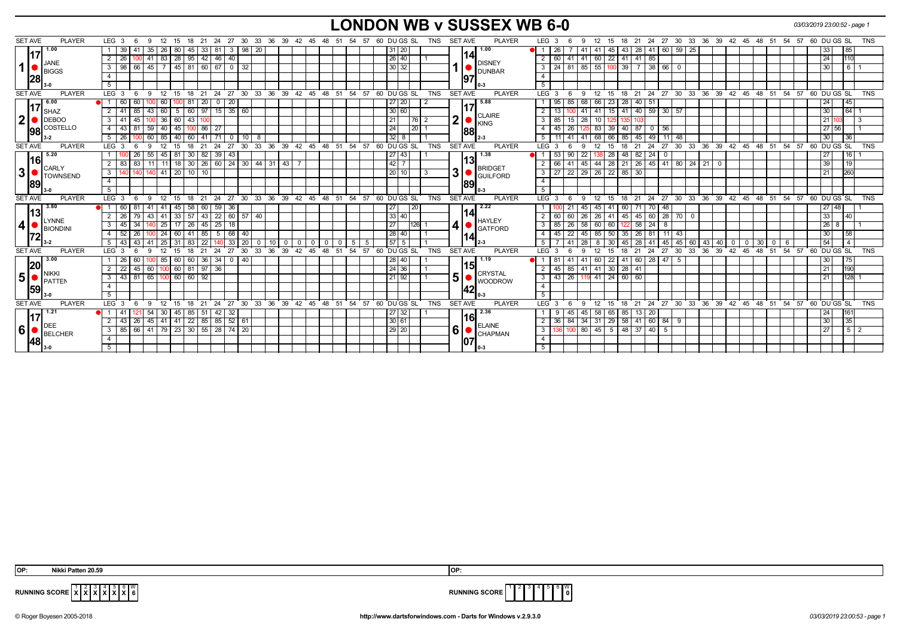# **LONDON WB v SUSSEX WB 6-0** *03/03/2019 23:00:52 - page 1*

| <b>PLAYER</b><br><b>SET AVE</b>                                   | LEG <sub>3</sub>                                    | - 6                  | - 12<br>-9                                           | 15           | 18                      | 21           |                            |             |          | 24 27 30 33 36 39 42 45 48 51 54 57                    |                |    |              |            |          |                 | 60 DU GS SL       | <b>TNS</b>     | <b>SET AVE</b> |                        | <b>PLAYER</b>                  |                | LEG <sub>3</sub>      | -6                                        | 12<br>9                | 15                                                  |                        |                  |                 |           |          |    |                                  |                           |             |       | 18  21  24  27  30  33  36  39  42  45  48  51  54  57  60  DU  GS  SL |       |                  | <b>TNS</b> |
|-------------------------------------------------------------------|-----------------------------------------------------|----------------------|------------------------------------------------------|--------------|-------------------------|--------------|----------------------------|-------------|----------|--------------------------------------------------------|----------------|----|--------------|------------|----------|-----------------|-------------------|----------------|----------------|------------------------|--------------------------------|----------------|-----------------------|-------------------------------------------|------------------------|-----------------------------------------------------|------------------------|------------------|-----------------|-----------|----------|----|----------------------------------|---------------------------|-------------|-------|------------------------------------------------------------------------|-------|------------------|------------|
| 1.00                                                              | 39                                                  | 41                   | 35<br>26                                             | 80           | 45                      | 33   81      |                            | 3   98   20 |          |                                                        |                |    |              |            |          | 31 20           |                   |                |                |                        | 1.00                           |                | 26                    |                                           | 41                     | 45                                                  | 43                     | 28 41 60 59      |                 |           | 25       |    |                                  |                           |             |       | 33                                                                     |       | 85               |            |
| 117<br><b>JANE</b><br>1<br><b>BIGGS</b><br> 28                    | $\overline{2}$<br>26                                |                      | 83<br>41                                             |              | 28   95   42   46       |              | 40                         |             |          |                                                        |                |    |              |            |          | 26 40           |                   |                |                | 14                     |                                |                | 2   60                | 41                                        | 41 60                  |                                                     | $22$ 41 41             | 85               |                 |           |          |    |                                  |                           |             |       | 24                                                                     |       | 110              |            |
|                                                                   | 98<br>$\overline{\phantom{a}3}$                     | 66                   | 45                                                   |              | 45   81   60   67       |              |                            | $0 \mid 32$ |          |                                                        |                |    |              |            |          | 30 32           |                   |                |                |                        | <b>DISNEY</b><br><b>DUNBAR</b> |                |                       | $3$   24   81   85   55                   |                        | 100 39                                              |                        | $7 \mid 38 \mid$ | 66              |           |          |    |                                  |                           |             |       | 30                                                                     |       | $6 \overline{6}$ |            |
|                                                                   | $\overline{4}$                                      |                      |                                                      |              |                         |              |                            |             |          |                                                        |                |    |              |            |          |                 |                   |                |                | 197                    |                                | $\overline{4}$ |                       |                                           |                        |                                                     |                        |                  |                 |           |          |    |                                  |                           |             |       |                                                                        |       |                  |            |
|                                                                   | 5 <sup>5</sup>                                      |                      |                                                      |              |                         |              |                            |             |          |                                                        |                |    |              |            |          |                 |                   |                |                |                        |                                |                | 5                     |                                           |                        |                                                     |                        |                  |                 |           |          |    |                                  |                           |             |       |                                                                        |       |                  |            |
| <b>SET AVE</b><br><b>PLAYER</b>                                   | $LEG \ 3$                                           | - 6                  | 9<br>- 12                                            | 15           | ີ 18                    | 21           |                            |             |          | 24 27 30 33 36 39 42 45 48 51 54 57 60 DUGS SL         |                |    |              |            |          |                 |                   | <b>TNS</b>     | <b>SET AVE</b> |                        | <b>PLAYER</b>                  |                | LEG 3                 | -6<br>-9                                  | 12                     |                                                     |                        |                  |                 |           |          |    |                                  |                           |             |       | 15 18 21 24 27 30 33 36 39 42 45 48 51 54 57 60 DUGS SL                |       |                  | <b>TNS</b> |
| 6.00                                                              | 60                                                  | 60                   | 0 60                                                 |              | -81                     | 20 I         | 20<br>$\mathbf{0}$         |             |          |                                                        |                |    |              |            |          | 27 20           |                   |                |                |                        | 5.88                           |                | 95                    | 85 68 66                                  |                        | 23                                                  | 28                     | $40$ 51          |                 |           |          |    |                                  |                           |             |       | 24                                                                     |       | 45               |            |
| 117<br><b>I</b> SHAZ                                              | $2 \mid 41$                                         | 85<br>43   60        |                                                      |              |                         |              | 5   60   97   15   35   60 |             |          |                                                        |                |    |              |            |          | 30 60           |                   |                |                |                        |                                |                | 13<br>2 <sup>1</sup>  |                                           | $-41$<br>$-41 -$       |                                                     | 15 41 40 59 30 57      |                  |                 |           |          |    |                                  |                           |             |       | 30                                                                     |       | 64               |            |
| $\boldsymbol{2}$<br>$\bigcup$ DEBOO                               | $3 \mid 41$                                         | 60<br>45<br>$100$ 36 |                                                      | 43 100       |                         |              |                            |             |          |                                                        |                |    |              |            | 21       | 76              |                   | 2 <sub>1</sub> | CLAIRE<br>KING |                        |                                | $3 \mid 85$    | $15 \mid 28 \mid$     | 10                                        |                        | 103                                                 |                        |                  |                 |           |          |    |                                  |                           |             | 21    |                                                                        |       | 3                |            |
| <b>98</b> COSTELLO                                                | $4 \mid 43$                                         | 81.                  | $59$ 40                                              | 45           | $100$ 86 27             |              |                            |             |          |                                                        |                |    |              |            |          | 24              | 20                |                |                |                        | 1881                           |                | 45                    | 26                                        |                        |                                                     | 125 83 39 40 87 0      |                  | $\overline{56}$ |           |          |    |                                  |                           |             |       |                                                                        | 27 56 |                  |            |
|                                                                   | $5 \mid 26$                                         |                      | 60 85                                                | 40           | $60$ 41 $\overline{71}$ |              |                            | 0 1 1 0 1   | - 8      |                                                        |                |    |              |            |          | 32 8            |                   |                |                |                        | $2 - 3$                        |                | 5 <sup>1</sup><br>111 | 41                                        | 41 68 66               |                                                     | 85 45 49               |                  | $11$ 48         |           |          |    |                                  |                           |             |       | 30 <sup>1</sup>                                                        |       | 36               |            |
| <b>SET AVE</b><br><b>PLAYER</b>                                   | LEG <sub>3</sub>                                    |                      | 12<br>-9                                             | 15           | 18                      | 21           | 27<br>24                   |             |          | 30 33 36 39 42 45 48 51                                |                |    |              |            | 54 57    |                 | 60 DU GS SL       | <b>TNS</b>     | <b>SET AVE</b> |                        | <b>PLAYER</b>                  |                | LEG 3                 | -6<br>9                                   | 12                     | 15                                                  | 21<br>18               | 24               |                 |           |          |    | 27 30 33 36 39 42 45 48 51 54 57 |                           |             |       | 60 DU GS SL                                                            |       |                  | <b>TNS</b> |
| 5.20<br>l16l<br><b>CARLY</b><br>3<br><b>TOWNSEND</b><br><b>89</b> |                                                     | 26                   | 55<br>-45                                            |              | 81   30                 | 82 39        | 43                         |             |          |                                                        |                |    |              |            |          | 27 43           |                   |                |                |                        | 1.38                           |                | 53                    | 90                                        | 22 <sub>1</sub><br>138 | 28                                                  | 48                     | $82$ 24          | $\mathbf{0}$    |           |          |    |                                  |                           |             |       | 27                                                                     |       | 16               |            |
|                                                                   | 2 8 8 3                                             | 83                   | 11   11   18   30   26   60   24   30   44   31   43 |              |                         |              |                            |             |          |                                                        |                |    |              |            | 42 7     |                 |                   |                | 13             | <b>BRIDGET</b>         |                                | $2 \mid 66$    | 41                    |                                           |                        | 45   44   28   21   26   45   41   80   24   21   0 |                        |                  |                 |           |          |    |                                  |                           |             | 39    |                                                                        | 19    |                  |            |
|                                                                   | $\overline{\phantom{a}3}$                           | 140 I                | 140 41 20 10 10                                      |              |                         |              |                            |             |          |                                                        |                |    |              |            |          | 20 10           |                   | -3             | 31             | <b>GUILFORD</b><br>189 |                                |                | $3 \mid 27$           | 22 29 26 22 85 30                         |                        |                                                     |                        |                  |                 |           |          |    |                                  |                           |             |       | 21                                                                     |       | 260              |            |
|                                                                   | $\overline{4}$                                      |                      |                                                      |              |                         |              |                            |             |          |                                                        |                |    |              |            |          |                 |                   |                |                |                        |                                |                | 4                     |                                           |                        |                                                     |                        |                  |                 |           |          |    |                                  |                           |             |       |                                                                        |       |                  |            |
|                                                                   | $5-1$                                               |                      |                                                      |              |                         |              |                            |             |          |                                                        |                |    |              |            |          |                 |                   |                |                |                        |                                |                | 5                     |                                           |                        |                                                     |                        |                  |                 |           |          |    |                                  |                           |             |       |                                                                        |       |                  |            |
| <b>PLAYER</b><br><b>SET AVE</b>                                   | LEG <sub>3</sub>                                    | 6                    | $9 \quad 12$                                         |              |                         |              |                            |             |          | 15 18 21 24 27 30 33 36 39 42 45 48 51 54 57 60 DUGSSL |                |    |              |            |          |                 |                   | <b>TNS</b>     | <b>SET AVE</b> |                        | <b>PLAYER</b>                  |                | LEG 3                 | 6<br>9                                    | 12                     |                                                     |                        |                  |                 |           |          |    |                                  |                           |             |       | 15 18 21 24 27 30 33 36 39 42 45 48 51 54 57 60 DUGS SL                |       |                  | <b>TNS</b> |
| 3.80                                                              | 60                                                  | 81<br>-41            | l 41                                                 | 45 I         | 58<br>$57$ 43 22        | 60 59        | 36                         |             |          |                                                        |                |    |              |            |          | 27 <br> 33 40   | 20                |                |                |                        | 2.22<br>14<br>HAYLEY           |                |                       | 21                                        | 45<br>45               | 41                                                  | 60   71   70           |                  | 48              |           |          |    |                                  |                           |             |       |                                                                        | 27 48 |                  |            |
| 13 <br>LYNNE                                                      | 2 <sup>1</sup><br>26                                | 79                   | 33<br>$43 \mid 41$<br>17<br>140 25                   |              |                         |              |                            | 60 57       | 40       |                                                        |                |    |              |            |          |                 |                   |                |                |                        |                                |                | $2 \mid 60$           | 60 26                                     | 26                     | 41                                                  | 45                     | 45 60            |                 | $28$ 70 0 |          |    |                                  |                           |             |       | 33                                                                     |       | 40               |            |
| $\boldsymbol{4}$<br>BIONDINI                                      | 3 <sup>1</sup><br>45                                | 34                   |                                                      | $26$ 45 $25$ |                         | 18           |                            |             |          |                                                        |                |    |              |            | 27       |                 | 126               | 41             |                | <b>GATFORD</b>         |                                | $3 \mid 85$    | $26$ 58 60            |                                           | 60                     |                                                     | $58$   24              | 8                |                 |           |          |    |                                  |                           |             | 26    | 8                                                                      |       |                  |            |
|                                                                   | 52<br>4 I                                           | 26                   | 100 24                                               | 60           | 41                      | 85 5         |                            | 68 40       |          |                                                        |                |    |              |            |          | 28 40           |                   |                |                | 114<br>12-3            |                                |                | 45                    | 22                                        | 45 85                  | 50                                                  | 35                     | $26$ 81          | $11$ 43         |           |          |    |                                  |                           |             |       | 30                                                                     |       | 58               |            |
|                                                                   | 43<br>5 I                                           | 43                   | 25                                                   | 31           | 83                      | 22           | 33                         | 20          | $\Omega$ | 10                                                     | 0 <sup>1</sup> |    | $\mathbf{0}$ | $^{\circ}$ | -5<br>-5 | 57 5            |                   |                |                |                        |                                |                |                       |                                           | 8                      | 30                                                  | 28<br>45 I             | 41               | 45              | 45        | 60<br>43 | 40 | $\mathbf 0$                      | $\vert$ 30<br>$\mathbf 0$ | $\mathbf 0$ | - 6   | 54                                                                     |       | $\overline{4}$   |            |
| <b>SET AVE</b><br><b>PLAYER</b>                                   | LEG <sub>3</sub>                                    | -6                   | -9<br>12                                             | 15           | 18                      | 21           | 27<br>24                   | 30          | 33       | 36<br>39                                               | $42^{\circ}$   | 45 | 48           | 51         |          |                 | 54 57 60 DU GS SL | <b>TNS</b>     | <b>SET AVE</b> |                        | <b>PLAYER</b>                  |                | LEG 3                 | -6<br>$\mathbf{Q}$                        | 12                     | 15                                                  | 21<br>18               | 24               | 27              | 30        | 33<br>36 | 39 | 42 45                            | 48                        | $-51$       | 54.57 | 60 DU GS SL                                                            |       |                  | <b>TNS</b> |
| 3.00<br> 20                                                       | -26                                                 | 60                   | DI 85                                                | 60           | 60                      | $36 \mid 34$ |                            | $0 \mid 40$ |          |                                                        |                |    |              |            |          | $\boxed{28}$ 40 |                   |                |                | 15                     | 1.19                           |                | -81                   |                                           | 60                     | 22                                                  | 60<br>-41              | 28               | l 47 l          | - 5       |          |    |                                  |                           |             |       | 30                                                                     |       | 75               |            |
| NIKKI                                                             | 22<br>2 I                                           | 45                   | 60                                                   |              | 60   81                 | $97 \mid 36$ |                            |             |          |                                                        |                |    |              |            |          | 24 36           |                   |                |                |                        | <b>CRYSTAL</b>                 |                | 45<br>2 <sup>1</sup>  | 85 41 41                                  |                        | $30 \mid 28 \mid$                                   | 41                     |                  |                 |           |          |    |                                  |                           |             |       | 21                                                                     |       | 190              |            |
| 5 <br>PATTEM                                                      | $3 \mid 43$                                         | 81                   | 65 100                                               |              | 60   60   92            |              |                            |             |          |                                                        |                |    |              |            |          | $21$ 92         |                   |                | 5 <sub>1</sub> |                        | <b>WOODROW</b>                 |                | $3 \mid 43 \mid$      | 26 119 41                                 |                        | $24 \ 60$                                           | 60                     |                  |                 |           |          |    |                                  |                           |             |       | 21                                                                     |       | 128              |            |
| 1591                                                              | $\overline{4}$                                      |                      |                                                      |              |                         |              |                            |             |          |                                                        |                |    |              |            |          |                 |                   |                |                | 42                     |                                |                | $\overline{4}$        |                                           |                        |                                                     |                        |                  |                 |           |          |    |                                  |                           |             |       |                                                                        |       |                  |            |
|                                                                   | 5                                                   |                      |                                                      |              |                         |              |                            |             |          |                                                        |                |    |              |            |          |                 |                   |                |                |                        |                                |                | 5                     |                                           |                        |                                                     |                        |                  |                 |           |          |    |                                  |                           |             |       |                                                                        |       |                  |            |
| <b>SET AVE</b><br><b>PLAYER</b>                                   | LEG <sub>3</sub>                                    | -6                   | -9<br>12                                             | 15           | 18                      | 21           | 27<br>24                   |             |          | 30 33 36 39 42                                         |                | 45 | 48           | 51         | 54<br>57 |                 | 60 DU GS SL       | <b>TNS</b>     | <b>SET AVE</b> |                        | <b>PLAYER</b>                  |                | LEG <sub>3</sub>      | -9                                        | 12                     | 15                                                  | 18<br>21               | 24               | $27 \cdot 30$   |           |          |    | 33 36 39 42 45                   |                           | $48 \t 51$  | 54 57 | 60 DU GS SL                                                            |       |                  | <b>TNS</b> |
| 1.21                                                              |                                                     |                      | 54<br>30                                             | 45 I         | 85                      | 51           | 42<br>-32                  |             |          |                                                        |                |    |              |            |          | 27 32           |                   |                |                |                        | 2.36                           |                | 9                     | 45                                        | 58<br>45               | 65                                                  | 13<br>85               | -20              |                 |           |          |    |                                  |                           |             |       | 24                                                                     |       | 161              |            |
| <b>IDEE</b>                                                       | 2 <sup>1</sup><br>43                                | 26 <sup>1</sup>      |                                                      |              |                         |              | 45 41 41 22 85 85 52 61    |             |          |                                                        |                |    |              |            |          | 30 61           |                   |                |                |                        | 16<br><b>ELAINE</b>            |                | 36<br>2 <sup>1</sup>  | 84   34   31   29   58   41   60   84   9 |                        |                                                     |                        |                  |                 |           |          |    |                                  |                           |             |       | 30                                                                     |       | 35               |            |
| 6<br>BELCHER                                                      | 3   85   66   41   79   23   30   55   28   74   20 |                      |                                                      |              |                         |              |                            |             |          |                                                        |                |    |              |            |          | 29 20           |                   |                | 6              |                        | <b>CHAPMAN</b>                 |                | 3 I<br>136            |                                           |                        |                                                     | $0$ 80 45 5 48 37 40 5 |                  |                 |           |          |    |                                  |                           |             |       | 27                                                                     |       | $5 \mid 2$       |            |
| 48                                                                | $\overline{4}$                                      |                      |                                                      |              |                         |              |                            |             |          |                                                        |                |    |              |            |          |                 |                   |                |                | 107                    |                                | $\overline{4}$ |                       |                                           |                        |                                                     |                        |                  |                 |           |          |    |                                  |                           |             |       |                                                                        |       |                  |            |
|                                                                   | 5 <sup>5</sup>                                      |                      |                                                      |              |                         |              |                            |             |          |                                                        |                |    |              |            |          |                 |                   |                |                |                        | $I_{0-3}$                      |                | 5 <sup>1</sup>        |                                           |                        |                                                     |                        |                  |                 |           |          |    |                                  |                           |             |       |                                                                        |       |                  |            |

 **X X** 6 **X** W



**RUNNING SCORE**  $\begin{bmatrix} 1 & 2 & 3 \\ X & X & X \end{bmatrix}$